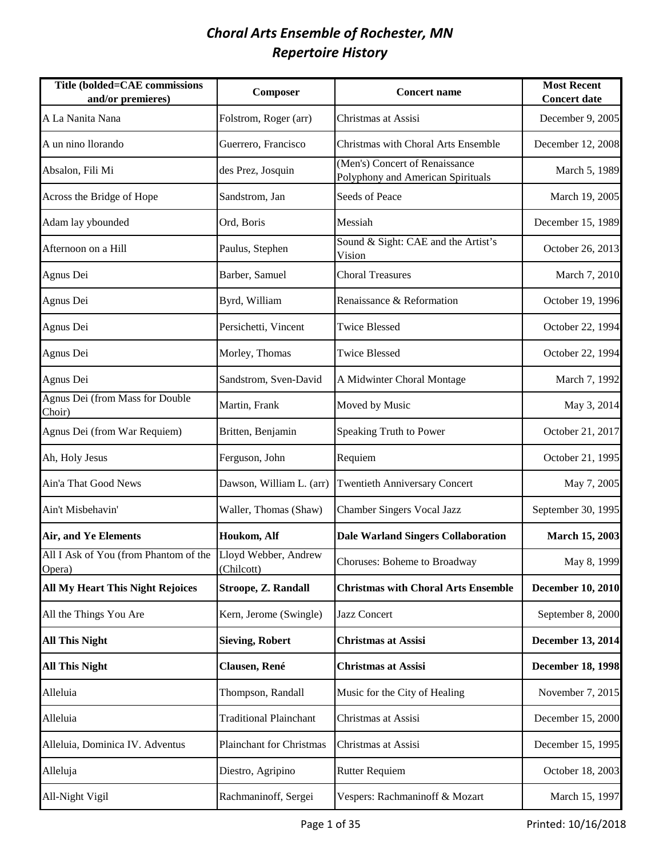| <b>Title (bolded=CAE commissions</b><br>and/or premieres)            | Composer                      | <b>Concert name</b>                                                 | <b>Most Recent</b><br><b>Concert date</b> |
|----------------------------------------------------------------------|-------------------------------|---------------------------------------------------------------------|-------------------------------------------|
| A La Nanita Nana                                                     | Folstrom, Roger (arr)         | Christmas at Assisi                                                 | December 9, 2005                          |
| A un nino llorando                                                   | Guerrero, Francisco           | Christmas with Choral Arts Ensemble                                 | December 12, 2008                         |
| Absalon, Fili Mi                                                     | des Prez, Josquin             | (Men's) Concert of Renaissance<br>Polyphony and American Spirituals | March 5, 1989                             |
| Across the Bridge of Hope                                            | Sandstrom, Jan                | Seeds of Peace                                                      | March 19, 2005                            |
| Adam lay ybounded                                                    | Ord, Boris                    | Messiah                                                             | December 15, 1989                         |
| Afternoon on a Hill                                                  | Paulus, Stephen               | Sound & Sight: CAE and the Artist's<br>Vision                       | October 26, 2013                          |
| Agnus Dei                                                            | Barber, Samuel                | <b>Choral Treasures</b>                                             | March 7, 2010                             |
| Agnus Dei                                                            | Byrd, William                 | Renaissance & Reformation                                           | October 19, 1996                          |
| Agnus Dei                                                            | Persichetti, Vincent          | <b>Twice Blessed</b>                                                | October 22, 1994                          |
| Agnus Dei                                                            | Morley, Thomas                | <b>Twice Blessed</b>                                                | October 22, 1994                          |
| Agnus Dei                                                            | Sandstrom, Sven-David         | A Midwinter Choral Montage                                          | March 7, 1992                             |
| Agnus Dei (from Mass for Double<br>Choir)                            | Martin, Frank                 | Moved by Music                                                      | May 3, 2014                               |
| Agnus Dei (from War Requiem)                                         | Britten, Benjamin             | Speaking Truth to Power                                             | October 21, 2017                          |
| Ah, Holy Jesus                                                       | Ferguson, John                | Requiem                                                             | October 21, 1995                          |
| Ain'a That Good News                                                 | Dawson, William L. (arr)      | <b>Twentieth Anniversary Concert</b>                                | May 7, 2005                               |
| Ain't Misbehavin'                                                    | Waller, Thomas (Shaw)         | <b>Chamber Singers Vocal Jazz</b>                                   | September 30, 1995                        |
| <b>Air, and Ye Elements</b>                                          | Houkom, Alf                   | <b>Dale Warland Singers Collaboration</b>                           | <b>March 15, 2003</b>                     |
| All I Ask of You (from Phantom of the Lloyd Webber, Andrew<br>Opera) | (Chilcott)                    | Choruses: Boheme to Broadway                                        | May 8, 1999                               |
| <b>All My Heart This Night Rejoices</b>                              | Stroope, Z. Randall           | <b>Christmas with Choral Arts Ensemble</b>                          | <b>December 10, 2010</b>                  |
| All the Things You Are                                               | Kern, Jerome (Swingle)        | Jazz Concert                                                        | September 8, 2000                         |
| <b>All This Night</b>                                                | <b>Sieving, Robert</b>        | <b>Christmas at Assisi</b>                                          | December 13, 2014                         |
| <b>All This Night</b>                                                | Clausen, René                 | <b>Christmas at Assisi</b>                                          | <b>December 18, 1998</b>                  |
| Alleluia                                                             | Thompson, Randall             | Music for the City of Healing                                       | November 7, 2015                          |
| Alleluia                                                             | <b>Traditional Plainchant</b> | Christmas at Assisi                                                 | December 15, 2000                         |
| Alleluia, Dominica IV. Adventus                                      | Plainchant for Christmas      | Christmas at Assisi                                                 | December 15, 1995                         |
| Alleluja                                                             | Diestro, Agripino             | <b>Rutter Requiem</b>                                               | October 18, 2003                          |
| All-Night Vigil                                                      | Rachmaninoff, Sergei          | Vespers: Rachmaninoff & Mozart                                      | March 15, 1997                            |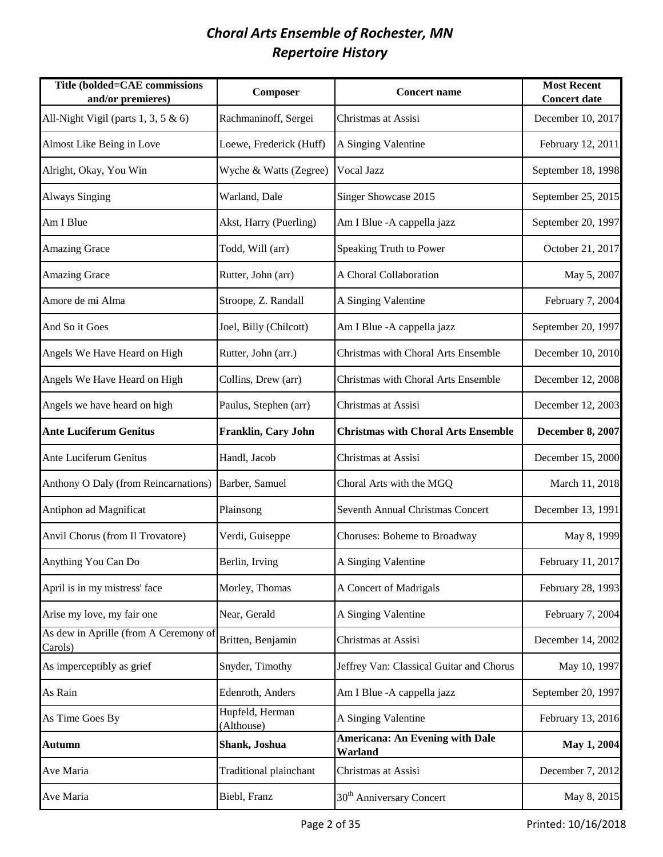| Title (bolded=CAE commissions<br>and/or premieres) | Composer                      | <b>Concert name</b>                               | <b>Most Recent</b><br><b>Concert date</b> |
|----------------------------------------------------|-------------------------------|---------------------------------------------------|-------------------------------------------|
| All-Night Vigil (parts 1, 3, 5 & 6)                | Rachmaninoff, Sergei          | Christmas at Assisi                               | December 10, 2017                         |
| Almost Like Being in Love                          | Loewe, Frederick (Huff)       | A Singing Valentine                               | February 12, 2011                         |
| Alright, Okay, You Win                             | Wyche & Watts (Zegree)        | Vocal Jazz                                        | September 18, 1998                        |
| <b>Always Singing</b>                              | Warland, Dale                 | Singer Showcase 2015                              | September 25, 2015                        |
| Am I Blue                                          | Akst, Harry (Puerling)        | Am I Blue - A cappella jazz                       | September 20, 1997                        |
| <b>Amazing Grace</b>                               | Todd, Will (arr)              | Speaking Truth to Power                           | October 21, 2017                          |
| <b>Amazing Grace</b>                               | Rutter, John (arr)            | A Choral Collaboration                            | May 5, 2007                               |
| Amore de mi Alma                                   | Stroope, Z. Randall           | A Singing Valentine                               | February 7, 2004                          |
| And So it Goes                                     | Joel, Billy (Chilcott)        | Am I Blue - A cappella jazz                       | September 20, 1997                        |
| Angels We Have Heard on High                       | Rutter, John (arr.)           | Christmas with Choral Arts Ensemble               | December 10, 2010                         |
| Angels We Have Heard on High                       | Collins, Drew (arr)           | Christmas with Choral Arts Ensemble               | December 12, 2008                         |
| Angels we have heard on high                       | Paulus, Stephen (arr)         | Christmas at Assisi                               | December 12, 2003                         |
| <b>Ante Luciferum Genitus</b>                      | Franklin, Cary John           | <b>Christmas with Choral Arts Ensemble</b>        | <b>December 8, 2007</b>                   |
| Ante Luciferum Genitus                             | Handl, Jacob                  | Christmas at Assisi                               | December 15, 2000                         |
| Anthony O Daly (from Reincarnations)               | Barber, Samuel                | Choral Arts with the MGQ                          | March 11, 2018                            |
| Antiphon ad Magnificat                             | Plainsong                     | Seventh Annual Christmas Concert                  | December 13, 1991                         |
| Anvil Chorus (from Il Trovatore)                   | Verdi, Guiseppe               | Choruses: Boheme to Broadway                      | May 8, 1999                               |
| Anything You Can Do                                | Berlin, Irving                | A Singing Valentine                               | February 11, 2017                         |
| April is in my mistress' face                      | Morley, Thomas                | A Concert of Madrigals                            | February 28, 1993                         |
| Arise my love, my fair one                         | Near, Gerald                  | A Singing Valentine                               | February 7, 2004                          |
| As dew in Aprille (from A Ceremony of<br>Carols)   | Britten, Benjamin             | Christmas at Assisi                               | December 14, 2002                         |
| As imperceptibly as grief                          | Snyder, Timothy               | Jeffrey Van: Classical Guitar and Chorus          | May 10, 1997                              |
| As Rain                                            | Edenroth, Anders              | Am I Blue - A cappella jazz                       | September 20, 1997                        |
| As Time Goes By                                    | Hupfeld, Herman<br>(Althouse) | A Singing Valentine                               | February 13, 2016                         |
| Autumn                                             | Shank, Joshua                 | <b>Americana: An Evening with Dale</b><br>Warland | May 1, 2004                               |
| Ave Maria                                          | Traditional plainchant        | Christmas at Assisi                               | December 7, 2012                          |
| Ave Maria                                          | Biebl, Franz                  | 30 <sup>th</sup> Anniversary Concert              | May 8, 2015                               |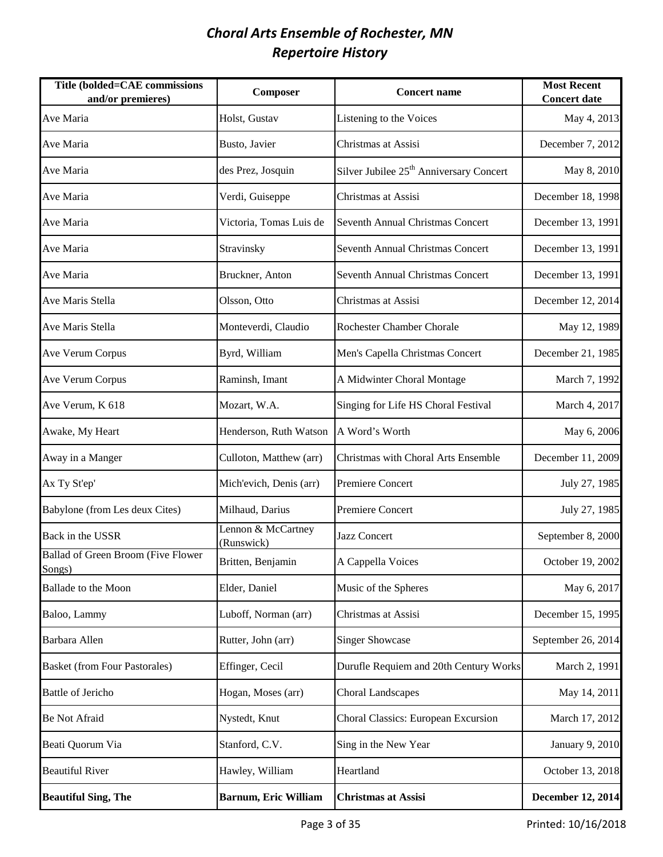| Title (bolded=CAE commissions<br>and/or premieres) | Composer                         | <b>Concert name</b>                                 | <b>Most Recent</b><br><b>Concert date</b> |
|----------------------------------------------------|----------------------------------|-----------------------------------------------------|-------------------------------------------|
| Ave Maria                                          | Holst, Gustav                    | Listening to the Voices                             | May 4, 2013                               |
| Ave Maria                                          | Busto, Javier                    | Christmas at Assisi                                 | December 7, 2012                          |
| Ave Maria                                          | des Prez, Josquin                | Silver Jubilee 25 <sup>th</sup> Anniversary Concert | May 8, 2010                               |
| Ave Maria                                          | Verdi, Guiseppe                  | Christmas at Assisi                                 | December 18, 1998                         |
| Ave Maria                                          | Victoria, Tomas Luis de          | Seventh Annual Christmas Concert                    | December 13, 1991                         |
| Ave Maria                                          | Stravinsky                       | Seventh Annual Christmas Concert                    | December 13, 1991                         |
| Ave Maria                                          | Bruckner, Anton                  | Seventh Annual Christmas Concert                    | December 13, 1991                         |
| Ave Maris Stella                                   | Olsson, Otto                     | Christmas at Assisi                                 | December 12, 2014                         |
| Ave Maris Stella                                   | Monteverdi, Claudio              | Rochester Chamber Chorale                           | May 12, 1989                              |
| Ave Verum Corpus                                   | Byrd, William                    | Men's Capella Christmas Concert                     | December 21, 1985                         |
| Ave Verum Corpus                                   | Raminsh, Imant                   | A Midwinter Choral Montage                          | March 7, 1992                             |
| Ave Verum, K 618                                   | Mozart, W.A.                     | Singing for Life HS Choral Festival                 | March 4, 2017                             |
| Awake, My Heart                                    | Henderson, Ruth Watson           | A Word's Worth                                      | May 6, 2006                               |
| Away in a Manger                                   | Culloton, Matthew (arr)          | Christmas with Choral Arts Ensemble                 | December 11, 2009                         |
| Ax Ty St'ep'                                       | Mich'evich, Denis (arr)          | <b>Premiere Concert</b>                             | July 27, 1985                             |
| Babylone (from Les deux Cites)                     | Milhaud, Darius                  | Premiere Concert                                    | July 27, 1985                             |
| Back in the USSR                                   | Lennon & McCartney<br>(Runswick) | Jazz Concert                                        | September 8, 2000                         |
| Ballad of Green Broom (Five Flower<br>Songs)       | Britten, Benjamin                | A Cappella Voices                                   | October 19, 2002                          |
| <b>Ballade</b> to the Moon                         | Elder, Daniel                    | Music of the Spheres                                | May 6, 2017                               |
| Baloo, Lammy                                       | Luboff, Norman (arr)             | Christmas at Assisi                                 | December 15, 1995                         |
| Barbara Allen                                      | Rutter, John (arr)               | <b>Singer Showcase</b>                              | September 26, 2014                        |
| <b>Basket (from Four Pastorales)</b>               | Effinger, Cecil                  | Durufle Requiem and 20th Century Works              | March 2, 1991                             |
| Battle of Jericho                                  | Hogan, Moses (arr)               | <b>Choral Landscapes</b>                            | May 14, 2011                              |
| <b>Be Not Afraid</b>                               | Nystedt, Knut                    | Choral Classics: European Excursion                 | March 17, 2012                            |
| Beati Quorum Via                                   | Stanford, C.V.                   | Sing in the New Year                                | January 9, 2010                           |
| <b>Beautiful River</b>                             | Hawley, William                  | Heartland                                           | October 13, 2018                          |
| <b>Beautiful Sing, The</b>                         | <b>Barnum, Eric William</b>      | <b>Christmas at Assisi</b>                          | <b>December 12, 2014</b>                  |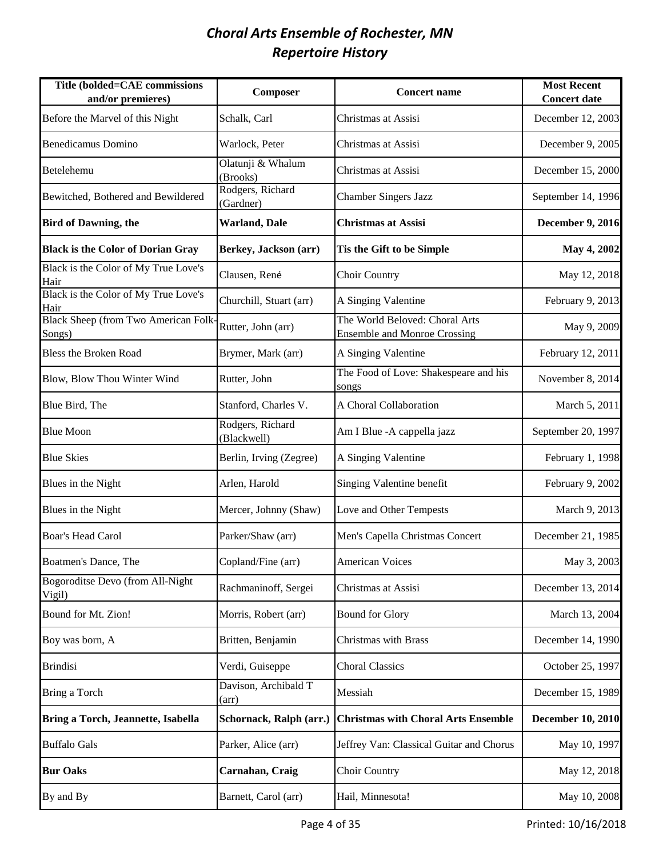| Title (bolded=CAE commissions<br>and/or premieres)   | Composer                        | <b>Concert name</b>                                                   | <b>Most Recent</b><br><b>Concert date</b> |
|------------------------------------------------------|---------------------------------|-----------------------------------------------------------------------|-------------------------------------------|
| Before the Marvel of this Night                      | Schalk, Carl                    | Christmas at Assisi                                                   | December 12, 2003                         |
| <b>Benedicamus Domino</b>                            | Warlock, Peter                  | Christmas at Assisi                                                   | December 9, 2005                          |
| Betelehemu                                           | Olatunji & Whalum<br>(Brooks)   | Christmas at Assisi                                                   | December 15, 2000                         |
| Bewitched, Bothered and Bewildered                   | Rodgers, Richard<br>(Gardner)   | <b>Chamber Singers Jazz</b>                                           | September 14, 1996                        |
| <b>Bird of Dawning, the</b>                          | Warland, Dale                   | <b>Christmas at Assisi</b>                                            | <b>December 9, 2016</b>                   |
| <b>Black is the Color of Dorian Gray</b>             | Berkey, Jackson (arr)           | Tis the Gift to be Simple                                             | May 4, 2002                               |
| Black is the Color of My True Love's<br>Hair         | Clausen, René                   | Choir Country                                                         | May 12, 2018                              |
| Black is the Color of My True Love's<br>Hair         | Churchill, Stuart (arr)         | A Singing Valentine                                                   | February 9, 2013                          |
| <b>Black Sheep (from Two American Folk</b><br>Songs) | Rutter, John (arr)              | The World Beloved: Choral Arts<br><b>Ensemble and Monroe Crossing</b> | May 9, 2009                               |
| <b>Bless the Broken Road</b>                         | Brymer, Mark (arr)              | A Singing Valentine                                                   | February 12, 2011                         |
| Blow, Blow Thou Winter Wind                          | Rutter, John                    | The Food of Love: Shakespeare and his<br>songs                        | November 8, 2014                          |
| Blue Bird, The                                       | Stanford, Charles V.            | A Choral Collaboration                                                | March 5, 2011                             |
| <b>Blue Moon</b>                                     | Rodgers, Richard<br>(Blackwell) | Am I Blue - A cappella jazz                                           | September 20, 1997                        |
| <b>Blue Skies</b>                                    | Berlin, Irving (Zegree)         | A Singing Valentine                                                   | February 1, 1998                          |
| Blues in the Night                                   | Arlen, Harold                   | Singing Valentine benefit                                             | February 9, 2002                          |
| Blues in the Night                                   | Mercer, Johnny (Shaw)           | Love and Other Tempests                                               | March 9, 2013                             |
| <b>Boar's Head Carol</b>                             | Parker/Shaw (arr)               | Men's Capella Christmas Concert                                       | December 21, 1985                         |
| Boatmen's Dance, The                                 | Copland/Fine (arr)              | <b>American Voices</b>                                                | May 3, 2003                               |
| Bogoroditse Devo (from All-Night<br>Vigil)           | Rachmaninoff, Sergei            | Christmas at Assisi                                                   | December 13, 2014                         |
| Bound for Mt. Zion!                                  | Morris, Robert (arr)            | <b>Bound for Glory</b>                                                | March 13, 2004                            |
| Boy was born, A                                      | Britten, Benjamin               | <b>Christmas with Brass</b>                                           | December 14, 1990                         |
| <b>Brindisi</b>                                      | Verdi, Guiseppe                 | <b>Choral Classics</b>                                                | October 25, 1997                          |
| Bring a Torch                                        | Davison, Archibald T<br>(arr)   | Messiah                                                               | December 15, 1989                         |
| Bring a Torch, Jeannette, Isabella                   | Schornack, Ralph (arr.)         | <b>Christmas with Choral Arts Ensemble</b>                            | <b>December 10, 2010</b>                  |
| <b>Buffalo Gals</b>                                  | Parker, Alice (arr)             | Jeffrey Van: Classical Guitar and Chorus                              | May 10, 1997                              |
| <b>Bur Oaks</b>                                      | Carnahan, Craig                 | Choir Country                                                         | May 12, 2018                              |
| By and By                                            | Barnett, Carol (arr)            | Hail, Minnesota!                                                      | May 10, 2008                              |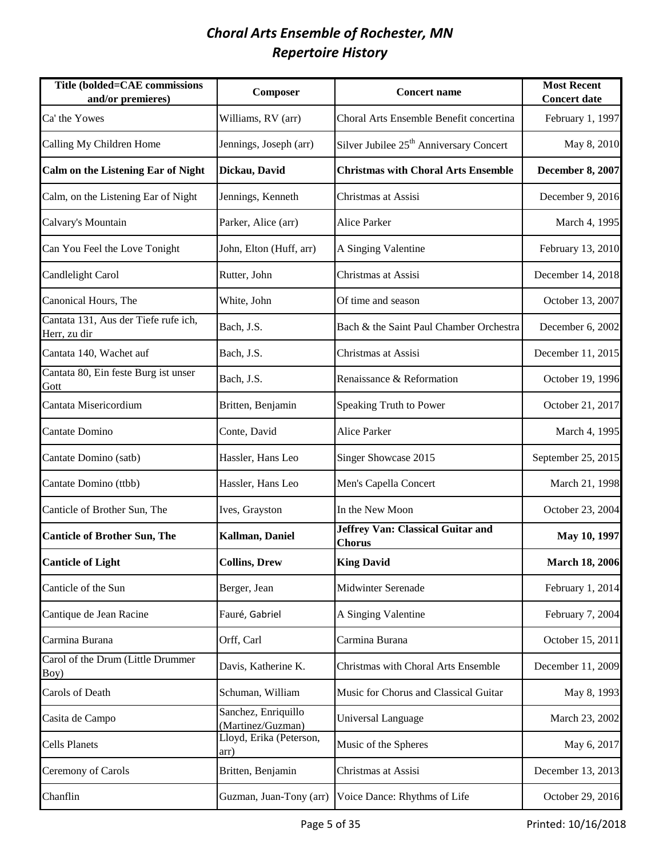| Title (bolded=CAE commissions<br>and/or premieres)   | Composer                                 | <b>Concert name</b>                                 | <b>Most Recent</b><br><b>Concert date</b> |
|------------------------------------------------------|------------------------------------------|-----------------------------------------------------|-------------------------------------------|
| Ca' the Yowes                                        | Williams, RV (arr)                       | Choral Arts Ensemble Benefit concertina             | February 1, 1997                          |
| Calling My Children Home                             | Jennings, Joseph (arr)                   | Silver Jubilee 25 <sup>th</sup> Anniversary Concert | May 8, 2010                               |
| <b>Calm on the Listening Ear of Night</b>            | Dickau, David                            | <b>Christmas with Choral Arts Ensemble</b>          | <b>December 8, 2007</b>                   |
| Calm, on the Listening Ear of Night                  | Jennings, Kenneth                        | Christmas at Assisi                                 | December 9, 2016                          |
| Calvary's Mountain                                   | Parker, Alice (arr)                      | <b>Alice Parker</b>                                 | March 4, 1995                             |
| Can You Feel the Love Tonight                        | John, Elton (Huff, arr)                  | A Singing Valentine                                 | February 13, 2010                         |
| Candlelight Carol                                    | Rutter, John                             | Christmas at Assisi                                 | December 14, 2018                         |
| Canonical Hours, The                                 | White, John                              | Of time and season                                  | October 13, 2007                          |
| Cantata 131, Aus der Tiefe rufe ich,<br>Herr, zu dir | Bach, J.S.                               | Bach & the Saint Paul Chamber Orchestra             | December 6, 2002                          |
| Cantata 140, Wachet auf                              | Bach, J.S.                               | Christmas at Assisi                                 | December 11, 2015                         |
| Cantata 80, Ein feste Burg ist unser<br>Gott         | Bach, J.S.                               | Renaissance & Reformation                           | October 19, 1996                          |
| Cantata Misericordium                                | Britten, Benjamin                        | Speaking Truth to Power                             | October 21, 2017                          |
| Cantate Domino                                       | Conte, David                             | <b>Alice Parker</b>                                 | March 4, 1995                             |
| Cantate Domino (satb)                                | Hassler, Hans Leo                        | Singer Showcase 2015                                | September 25, 2015                        |
| Cantate Domino (ttbb)                                | Hassler, Hans Leo                        | Men's Capella Concert                               | March 21, 1998                            |
| Canticle of Brother Sun, The                         | Ives, Grayston                           | In the New Moon                                     | October 23, 2004                          |
| <b>Canticle of Brother Sun, The</b>                  | Kallman, Daniel                          | Jeffrey Van: Classical Guitar and<br><b>Chorus</b>  | May 10, 1997                              |
| <b>Canticle of Light</b>                             | <b>Collins, Drew</b>                     | <b>King David</b>                                   | <b>March 18, 2006</b>                     |
| Canticle of the Sun                                  | Berger, Jean                             | <b>Midwinter Serenade</b>                           | February 1, 2014                          |
| Cantique de Jean Racine                              | Fauré, Gabriel                           | A Singing Valentine                                 | February 7, 2004                          |
| Carmina Burana                                       | Orff, Carl                               | Carmina Burana                                      | October 15, 2011                          |
| Carol of the Drum (Little Drummer<br>Boy)            | Davis, Katherine K.                      | Christmas with Choral Arts Ensemble                 | December 11, 2009                         |
| Carols of Death                                      | Schuman, William                         | Music for Chorus and Classical Guitar               | May 8, 1993                               |
| Casita de Campo                                      | Sanchez, Enriquillo<br>(Martinez/Guzman) | Universal Language                                  | March 23, 2002                            |
| <b>Cells Planets</b>                                 | Lloyd, Erika (Peterson,<br>arr)          | Music of the Spheres                                | May 6, 2017                               |
| Ceremony of Carols                                   | Britten, Benjamin                        | Christmas at Assisi                                 | December 13, 2013                         |
| Chanflin                                             | Guzman, Juan-Tony (arr)                  | Voice Dance: Rhythms of Life                        | October 29, 2016                          |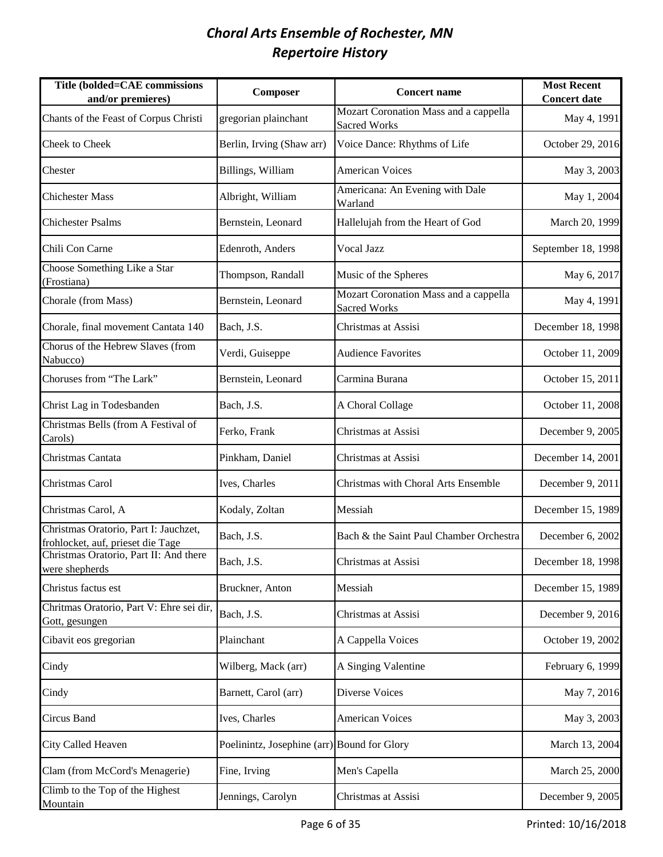| Title (bolded=CAE commissions<br>and/or premieres)                         | Composer                                    | <b>Concert name</b>                                          | <b>Most Recent</b><br><b>Concert date</b> |
|----------------------------------------------------------------------------|---------------------------------------------|--------------------------------------------------------------|-------------------------------------------|
| Chants of the Feast of Corpus Christi                                      | gregorian plainchant                        | Mozart Coronation Mass and a cappella<br>Sacred Works        | May 4, 1991                               |
| Cheek to Cheek                                                             | Berlin, Irving (Shaw arr)                   | Voice Dance: Rhythms of Life                                 | October 29, 2016                          |
| Chester                                                                    | Billings, William                           | <b>American Voices</b>                                       | May 3, 2003                               |
| <b>Chichester Mass</b>                                                     | Albright, William                           | Americana: An Evening with Dale<br>Warland                   | May 1, 2004                               |
| <b>Chichester Psalms</b>                                                   | Bernstein, Leonard                          | Hallelujah from the Heart of God                             | March 20, 1999                            |
| Chili Con Carne                                                            | Edenroth, Anders                            | Vocal Jazz                                                   | September 18, 1998                        |
| Choose Something Like a Star<br>(Frostiana)                                | Thompson, Randall                           | Music of the Spheres                                         | May 6, 2017                               |
| Chorale (from Mass)                                                        | Bernstein, Leonard                          | Mozart Coronation Mass and a cappella<br><b>Sacred Works</b> | May 4, 1991                               |
| Chorale, final movement Cantata 140                                        | Bach, J.S.                                  | Christmas at Assisi                                          | December 18, 1998                         |
| Chorus of the Hebrew Slaves (from<br>Nabucco)                              | Verdi, Guiseppe                             | <b>Audience Favorites</b>                                    | October 11, 2009                          |
| Choruses from "The Lark"                                                   | Bernstein, Leonard                          | Carmina Burana                                               | October 15, 2011                          |
| Christ Lag in Todesbanden                                                  | Bach, J.S.                                  | A Choral Collage                                             | October 11, 2008                          |
| Christmas Bells (from A Festival of<br>Carols)                             | Ferko, Frank                                | Christmas at Assisi                                          | December 9, 2005                          |
| Christmas Cantata                                                          | Pinkham, Daniel                             | Christmas at Assisi                                          | December 14, 2001                         |
| Christmas Carol                                                            | Ives, Charles                               | Christmas with Choral Arts Ensemble                          | December 9, 2011                          |
| Christmas Carol, A                                                         | Kodaly, Zoltan                              | Messiah                                                      | December 15, 1989                         |
| Christmas Oratorio, Part I: Jauchzet,<br>frohlocket, auf, prieset die Tage | Bach, J.S.                                  | Bach & the Saint Paul Chamber Orchestra                      | December 6, 2002                          |
| Christmas Oratorio, Part II: And there<br>were shepherds                   | Bach, J.S.                                  | Christmas at Assisi                                          | December 18, 1998                         |
| Christus factus est                                                        | Bruckner, Anton                             | Messiah                                                      | December 15, 1989                         |
| Chritmas Oratorio, Part V: Ehre sei dir,<br>Gott, gesungen                 | Bach, J.S.                                  | Christmas at Assisi                                          | December 9, 2016                          |
| Cibavit eos gregorian                                                      | Plainchant                                  | A Cappella Voices                                            | October 19, 2002                          |
| Cindy                                                                      | Wilberg, Mack (arr)                         | A Singing Valentine                                          | February 6, 1999                          |
| Cindy                                                                      | Barnett, Carol (arr)                        | Diverse Voices                                               | May 7, 2016                               |
| Circus Band                                                                | Ives, Charles                               | <b>American Voices</b>                                       | May 3, 2003                               |
| City Called Heaven                                                         | Poelinintz, Josephine (arr) Bound for Glory |                                                              | March 13, 2004                            |
| Clam (from McCord's Menagerie)                                             | Fine, Irving                                | Men's Capella                                                | March 25, 2000                            |
| Climb to the Top of the Highest<br>Mountain                                | Jennings, Carolyn                           | Christmas at Assisi                                          | December 9, 2005                          |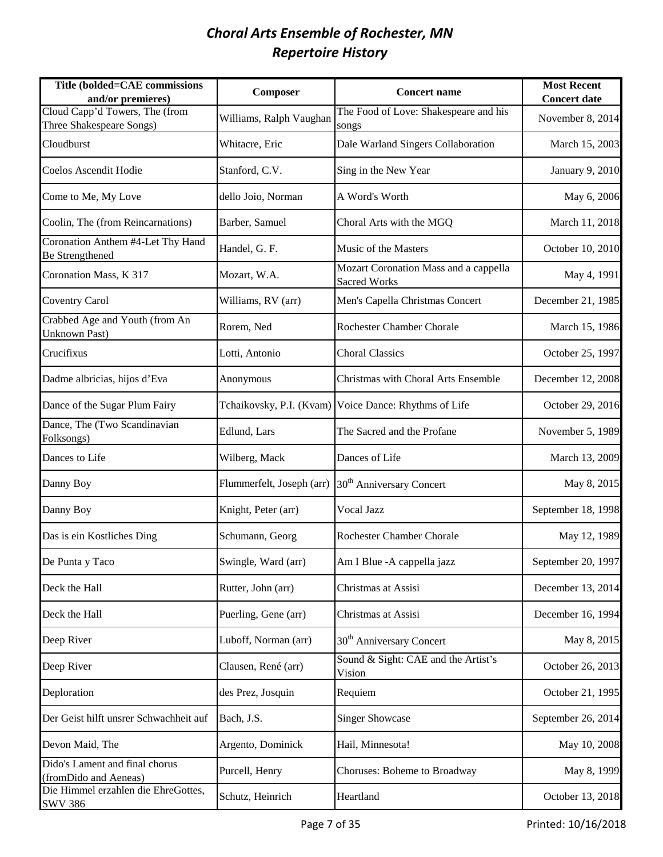| Title (bolded=CAE commissions<br>and/or premieres)          | Composer                  | <b>Concert name</b>                                          | <b>Most Recent</b><br><b>Concert date</b> |
|-------------------------------------------------------------|---------------------------|--------------------------------------------------------------|-------------------------------------------|
| Cloud Capp'd Towers, The (from<br>Three Shakespeare Songs)  | Williams, Ralph Vaughan   | The Food of Love: Shakespeare and his<br>songs               | November 8, 2014                          |
| Cloudburst                                                  | Whitacre, Eric            | Dale Warland Singers Collaboration                           | March 15, 2003                            |
| Coelos Ascendit Hodie                                       | Stanford, C.V.            | Sing in the New Year                                         | January 9, 2010                           |
| Come to Me, My Love                                         | dello Joio, Norman        | A Word's Worth                                               | May 6, 2006                               |
| Coolin, The (from Reincarnations)                           | Barber, Samuel            | Choral Arts with the MGQ                                     | March 11, 2018                            |
| Coronation Anthem #4-Let Thy Hand<br><b>Be Strengthened</b> | Handel, G. F.             | Music of the Masters                                         | October 10, 2010                          |
| Coronation Mass, K 317                                      | Mozart, W.A.              | Mozart Coronation Mass and a cappella<br><b>Sacred Works</b> | May 4, 1991                               |
| <b>Coventry Carol</b>                                       | Williams, RV (arr)        | Men's Capella Christmas Concert                              | December 21, 1985                         |
| Crabbed Age and Youth (from An<br><b>Unknown Past)</b>      | Rorem, Ned                | Rochester Chamber Chorale                                    | March 15, 1986                            |
| Crucifixus                                                  | Lotti, Antonio            | <b>Choral Classics</b>                                       | October 25, 1997                          |
| Dadme albricias, hijos d'Eva                                | Anonymous                 | Christmas with Choral Arts Ensemble                          | December 12, 2008                         |
| Dance of the Sugar Plum Fairy                               |                           | Tchaikovsky, P.I. (Kvam) Voice Dance: Rhythms of Life        | October 29, 2016                          |
| Dance, The (Two Scandinavian<br>Folksongs)                  | Edlund, Lars              | The Sacred and the Profane                                   | November 5, 1989                          |
| Dances to Life                                              | Wilberg, Mack             | Dances of Life                                               | March 13, 2009                            |
| Danny Boy                                                   | Flummerfelt, Joseph (arr) | 30 <sup>th</sup> Anniversary Concert                         | May 8, 2015                               |
| Danny Boy                                                   | Knight, Peter (arr)       | Vocal Jazz                                                   | September 18, 1998                        |
| Das is ein Kostliches Ding                                  | Schumann, Georg           | Rochester Chamber Chorale                                    | May 12, 1989                              |
| De Punta y Taco                                             | Swingle, Ward (arr)       | Am I Blue - A cappella jazz                                  | September 20, 1997                        |
| Deck the Hall                                               | Rutter, John (arr)        | Christmas at Assisi                                          | December 13, 2014                         |
| Deck the Hall                                               | Puerling, Gene (arr)      | Christmas at Assisi                                          | December 16, 1994                         |
| Deep River                                                  | Luboff, Norman (arr)      | 30 <sup>th</sup> Anniversary Concert                         | May 8, 2015                               |
| Deep River                                                  | Clausen, René (arr)       | Sound & Sight: CAE and the Artist's<br>Vision                | October 26, 2013                          |
| Deploration                                                 | des Prez, Josquin         | Requiem                                                      | October 21, 1995                          |
| Der Geist hilft unsrer Schwachheit auf                      | Bach, J.S.                | <b>Singer Showcase</b>                                       | September 26, 2014                        |
| Devon Maid, The                                             | Argento, Dominick         | Hail, Minnesota!                                             | May 10, 2008                              |
| Dido's Lament and final chorus<br>(fromDido and Aeneas)     | Purcell, Henry            | Choruses: Boheme to Broadway                                 | May 8, 1999                               |
| Die Himmel erzahlen die EhreGottes,<br><b>SWV 386</b>       | Schutz, Heinrich          | Heartland                                                    | October 13, 2018                          |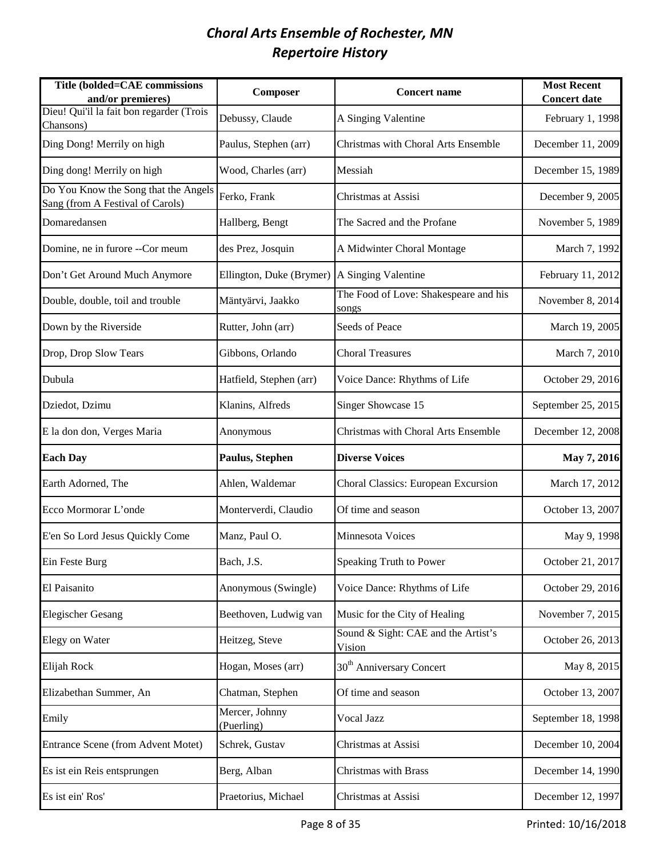| Title (bolded=CAE commissions<br>and/or premieres)                       | Composer                     | <b>Concert name</b>                            | <b>Most Recent</b><br><b>Concert date</b> |
|--------------------------------------------------------------------------|------------------------------|------------------------------------------------|-------------------------------------------|
| Dieu! Qui'il la fait bon regarder (Trois<br>Chansons)                    | Debussy, Claude              | A Singing Valentine                            | February 1, 1998                          |
| Ding Dong! Merrily on high                                               | Paulus, Stephen (arr)        | Christmas with Choral Arts Ensemble            | December 11, 2009                         |
| Ding dong! Merrily on high                                               | Wood, Charles (arr)          | Messiah                                        | December 15, 1989                         |
| Do You Know the Song that the Angels<br>Sang (from A Festival of Carols) | Ferko, Frank                 | Christmas at Assisi                            | December 9, 2005                          |
| Domaredansen                                                             | Hallberg, Bengt              | The Sacred and the Profane                     | November 5, 1989                          |
| Domine, ne in furore --Cor meum                                          | des Prez, Josquin            | A Midwinter Choral Montage                     | March 7, 1992                             |
| Don't Get Around Much Anymore                                            | Ellington, Duke (Brymer)     | A Singing Valentine                            | February 11, 2012                         |
| Double, double, toil and trouble                                         | Mäntyärvi, Jaakko            | The Food of Love: Shakespeare and his<br>songs | November 8, 2014                          |
| Down by the Riverside                                                    | Rutter, John (arr)           | Seeds of Peace                                 | March 19, 2005                            |
| Drop, Drop Slow Tears                                                    | Gibbons, Orlando             | <b>Choral Treasures</b>                        | March 7, 2010                             |
| Dubula                                                                   | Hatfield, Stephen (arr)      | Voice Dance: Rhythms of Life                   | October 29, 2016                          |
| Dziedot, Dzimu                                                           | Klanins, Alfreds             | Singer Showcase 15                             | September 25, 2015                        |
| E la don don, Verges Maria                                               | Anonymous                    | Christmas with Choral Arts Ensemble            | December 12, 2008                         |
| <b>Each Day</b>                                                          | Paulus, Stephen              | <b>Diverse Voices</b>                          | May 7, 2016                               |
| Earth Adorned, The                                                       | Ahlen, Waldemar              | Choral Classics: European Excursion            | March 17, 2012                            |
| Ecco Mormorar L'onde                                                     | Monterverdi, Claudio         | Of time and season                             | October 13, 2007                          |
| E'en So Lord Jesus Quickly Come                                          | Manz, Paul O.                | Minnesota Voices                               | May 9, 1998                               |
| Ein Feste Burg                                                           | Bach, J.S.                   | Speaking Truth to Power                        | October 21, 2017                          |
| El Paisanito                                                             | Anonymous (Swingle)          | Voice Dance: Rhythms of Life                   | October 29, 2016                          |
| <b>Elegischer Gesang</b>                                                 | Beethoven, Ludwig van        | Music for the City of Healing                  | November 7, 2015                          |
| <b>Elegy on Water</b>                                                    | Heitzeg, Steve               | Sound & Sight: CAE and the Artist's<br>Vision  | October 26, 2013                          |
| Elijah Rock                                                              | Hogan, Moses (arr)           | 30 <sup>th</sup> Anniversary Concert           | May 8, 2015                               |
| Elizabethan Summer, An                                                   | Chatman, Stephen             | Of time and season                             | October 13, 2007                          |
| Emily                                                                    | Mercer, Johnny<br>(Puerling) | Vocal Jazz                                     | September 18, 1998                        |
| Entrance Scene (from Advent Motet)                                       | Schrek, Gustav               | Christmas at Assisi                            | December 10, 2004                         |
| Es ist ein Reis entsprungen                                              | Berg, Alban                  | <b>Christmas with Brass</b>                    | December 14, 1990                         |
| Es ist ein' Ros'                                                         | Praetorius, Michael          | Christmas at Assisi                            | December 12, 1997                         |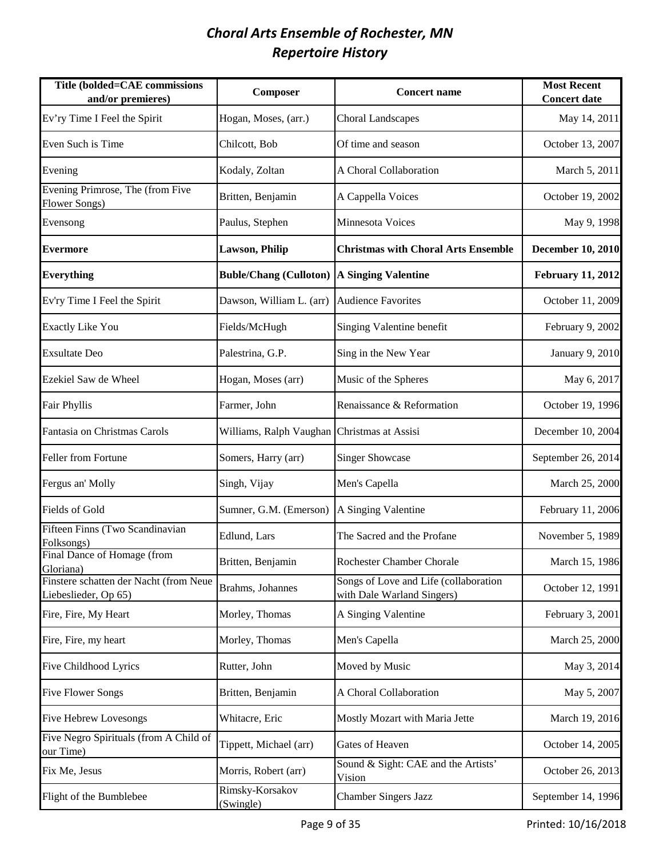| Title (bolded=CAE commissions<br>and/or premieres)             | Composer                                    | <b>Concert name</b>                                                 | <b>Most Recent</b><br><b>Concert date</b> |
|----------------------------------------------------------------|---------------------------------------------|---------------------------------------------------------------------|-------------------------------------------|
| Ev'ry Time I Feel the Spirit                                   | Hogan, Moses, (arr.)                        | <b>Choral Landscapes</b>                                            | May 14, 2011                              |
| Even Such is Time                                              | Chilcott, Bob                               | Of time and season                                                  | October 13, 2007                          |
| Evening                                                        | Kodaly, Zoltan                              | A Choral Collaboration                                              | March 5, 2011                             |
| Evening Primrose, The (from Five<br>Flower Songs)              | Britten, Benjamin                           | A Cappella Voices                                                   | October 19, 2002                          |
| Evensong                                                       | Paulus, Stephen                             | Minnesota Voices                                                    | May 9, 1998                               |
| <b>Evermore</b>                                                | <b>Lawson, Philip</b>                       | <b>Christmas with Choral Arts Ensemble</b>                          | <b>December 10, 2010</b>                  |
| <b>Everything</b>                                              | <b>Buble/Chang (Culloton)</b>               | A Singing Valentine                                                 | <b>February 11, 2012</b>                  |
| Ev'ry Time I Feel the Spirit                                   | Dawson, William L. (arr)                    | Audience Favorites                                                  | October 11, 2009                          |
| <b>Exactly Like You</b>                                        | Fields/McHugh                               | Singing Valentine benefit                                           | February 9, 2002                          |
| <b>Exsultate Deo</b>                                           | Palestrina, G.P.                            | Sing in the New Year                                                | January 9, 2010                           |
| Ezekiel Saw de Wheel                                           | Hogan, Moses (arr)                          | Music of the Spheres                                                | May 6, 2017                               |
| <b>Fair Phyllis</b>                                            | Farmer, John                                | Renaissance & Reformation                                           | October 19, 1996                          |
| Fantasia on Christmas Carols                                   | Williams, Ralph Vaughan Christmas at Assisi |                                                                     | December 10, 2004                         |
| Feller from Fortune                                            | Somers, Harry (arr)                         | <b>Singer Showcase</b>                                              | September 26, 2014                        |
| Fergus an' Molly                                               | Singh, Vijay                                | Men's Capella                                                       | March 25, 2000                            |
| Fields of Gold                                                 | Sumner, G.M. (Emerson)                      | A Singing Valentine                                                 | February 11, 2006                         |
| Fifteen Finns (Two Scandinavian<br>Folksongs)                  | Edlund, Lars                                | The Sacred and the Profane                                          | November 5, 1989                          |
| Final Dance of Homage (from<br>Gloriana)                       | Britten, Benjamin                           | Rochester Chamber Chorale                                           | March 15, 1986                            |
| Finstere schatten der Nacht (from Neue<br>Liebeslieder, Op 65) | Brahms, Johannes                            | Songs of Love and Life (collaboration<br>with Dale Warland Singers) | October 12, 1991                          |
| Fire, Fire, My Heart                                           | Morley, Thomas                              | A Singing Valentine                                                 | February 3, 2001                          |
| Fire, Fire, my heart                                           | Morley, Thomas                              | Men's Capella                                                       | March 25, 2000                            |
| <b>Five Childhood Lyrics</b>                                   | Rutter, John                                | Moved by Music                                                      | May 3, 2014                               |
| <b>Five Flower Songs</b>                                       | Britten, Benjamin                           | A Choral Collaboration                                              | May 5, 2007                               |
| <b>Five Hebrew Lovesongs</b>                                   | Whitacre, Eric                              | Mostly Mozart with Maria Jette                                      | March 19, 2016                            |
| Five Negro Spirituals (from A Child of<br>our Time)            | Tippett, Michael (arr)                      | Gates of Heaven                                                     | October 14, 2005                          |
| Fix Me, Jesus                                                  | Morris, Robert (arr)                        | Sound & Sight: CAE and the Artists'<br>Vision                       | October 26, 2013                          |
| Flight of the Bumblebee                                        | Rimsky-Korsakov<br>(Swingle)                | <b>Chamber Singers Jazz</b>                                         | September 14, 1996                        |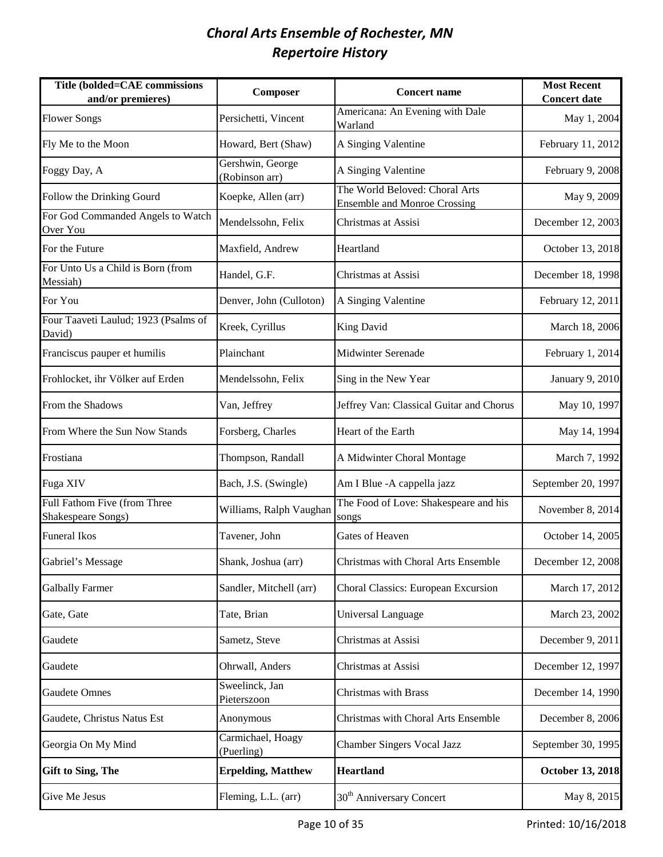| Title (bolded=CAE commissions<br>and/or premieres) | Composer                           | <b>Concert name</b>                                                   | <b>Most Recent</b><br><b>Concert date</b> |
|----------------------------------------------------|------------------------------------|-----------------------------------------------------------------------|-------------------------------------------|
| <b>Flower Songs</b>                                | Persichetti, Vincent               | Americana: An Evening with Dale<br>Warland                            | May 1, 2004                               |
| Fly Me to the Moon                                 | Howard, Bert (Shaw)                | A Singing Valentine                                                   | February 11, 2012                         |
| Foggy Day, A                                       | Gershwin, George<br>(Robinson arr) | A Singing Valentine                                                   | February 9, 2008                          |
| Follow the Drinking Gourd                          | Koepke, Allen (arr)                | The World Beloved: Choral Arts<br><b>Ensemble and Monroe Crossing</b> | May 9, 2009                               |
| For God Commanded Angels to Watch<br>Over You      | Mendelssohn, Felix                 | Christmas at Assisi                                                   | December 12, 2003                         |
| For the Future                                     | Maxfield, Andrew                   | Heartland                                                             | October 13, 2018                          |
| For Unto Us a Child is Born (from<br>Messiah)      | Handel, G.F.                       | Christmas at Assisi                                                   | December 18, 1998                         |
| For You                                            | Denver, John (Culloton)            | A Singing Valentine                                                   | February 12, 2011                         |
| Four Taaveti Laulud; 1923 (Psalms of<br>David)     | Kreek, Cyrillus                    | King David                                                            | March 18, 2006                            |
| Franciscus pauper et humilis                       | Plainchant                         | <b>Midwinter Serenade</b>                                             | February 1, 2014                          |
| Frohlocket, ihr Völker auf Erden                   | Mendelssohn, Felix                 | Sing in the New Year                                                  | January 9, 2010                           |
| From the Shadows                                   | Van, Jeffrey                       | Jeffrey Van: Classical Guitar and Chorus                              | May 10, 1997                              |
| From Where the Sun Now Stands                      | Forsberg, Charles                  | Heart of the Earth                                                    | May 14, 1994                              |
| Frostiana                                          | Thompson, Randall                  | A Midwinter Choral Montage                                            | March 7, 1992                             |
| Fuga XIV                                           | Bach, J.S. (Swingle)               | Am I Blue - A cappella jazz                                           | September 20, 1997                        |
| Full Fathom Five (from Three<br>Shakespeare Songs) | Williams, Ralph Vaughan            | The Food of Love: Shakespeare and his<br>songs                        | November 8, 2014                          |
| <b>Funeral Ikos</b>                                | Tavener, John                      | Gates of Heaven                                                       | October 14, 2005                          |
| Gabriel's Message                                  | Shank, Joshua (arr)                | Christmas with Choral Arts Ensemble                                   | December 12, 2008                         |
| <b>Galbally Farmer</b>                             | Sandler, Mitchell (arr)            | Choral Classics: European Excursion                                   | March 17, 2012                            |
| Gate, Gate                                         | Tate, Brian                        | Universal Language                                                    | March 23, 2002                            |
| Gaudete                                            | Sametz, Steve                      | Christmas at Assisi                                                   | December 9, 2011                          |
| Gaudete                                            | Ohrwall, Anders                    | Christmas at Assisi                                                   | December 12, 1997                         |
| <b>Gaudete Omnes</b>                               | Sweelinck, Jan<br>Pieterszoon      | <b>Christmas with Brass</b>                                           | December 14, 1990                         |
| Gaudete, Christus Natus Est                        | Anonymous                          | Christmas with Choral Arts Ensemble                                   | December 8, 2006                          |
| Georgia On My Mind                                 | Carmichael, Hoagy<br>(Puerling)    | <b>Chamber Singers Vocal Jazz</b>                                     | September 30, 1995                        |
| <b>Gift to Sing, The</b>                           | <b>Erpelding, Matthew</b>          | <b>Heartland</b>                                                      | <b>October 13, 2018</b>                   |
| Give Me Jesus                                      | Fleming, L.L. (arr)                | 30 <sup>th</sup> Anniversary Concert                                  | May 8, 2015                               |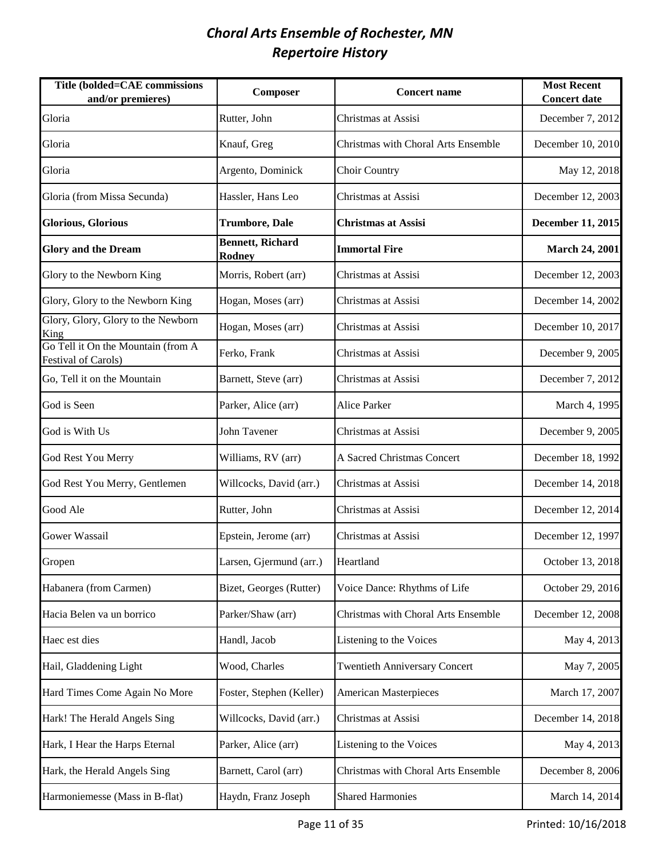| Title (bolded=CAE commissions<br>and/or premieres)               | Composer                                 | <b>Concert name</b>                  | <b>Most Recent</b><br><b>Concert date</b> |
|------------------------------------------------------------------|------------------------------------------|--------------------------------------|-------------------------------------------|
| Gloria                                                           | Rutter, John                             | Christmas at Assisi                  | December 7, 2012                          |
| Gloria                                                           | Knauf, Greg                              | Christmas with Choral Arts Ensemble  | December 10, 2010                         |
| Gloria                                                           | Argento, Dominick                        | <b>Choir Country</b>                 | May 12, 2018                              |
| Gloria (from Missa Secunda)                                      | Hassler, Hans Leo                        | Christmas at Assisi                  | December 12, 2003                         |
| <b>Glorious, Glorious</b>                                        | <b>Trumbore, Dale</b>                    | <b>Christmas at Assisi</b>           | December 11, 2015                         |
| <b>Glory and the Dream</b>                                       | <b>Bennett, Richard</b><br><b>Rodney</b> | <b>Immortal Fire</b>                 | <b>March 24, 2001</b>                     |
| Glory to the Newborn King                                        | Morris, Robert (arr)                     | Christmas at Assisi                  | December 12, 2003                         |
| Glory, Glory to the Newborn King                                 | Hogan, Moses (arr)                       | Christmas at Assisi                  | December 14, 2002                         |
| Glory, Glory, Glory to the Newborn<br>King                       | Hogan, Moses (arr)                       | Christmas at Assisi                  | December 10, 2017                         |
| Go Tell it On the Mountain (from A<br><b>Festival of Carols)</b> | Ferko, Frank                             | Christmas at Assisi                  | December 9, 2005                          |
| Go, Tell it on the Mountain                                      | Barnett, Steve (arr)                     | Christmas at Assisi                  | December 7, 2012                          |
| God is Seen                                                      | Parker, Alice (arr)                      | Alice Parker                         | March 4, 1995                             |
| God is With Us                                                   | John Tavener                             | Christmas at Assisi                  | December 9, 2005                          |
| God Rest You Merry                                               | Williams, RV (arr)                       | A Sacred Christmas Concert           | December 18, 1992                         |
| God Rest You Merry, Gentlemen                                    | Willcocks, David (arr.)                  | Christmas at Assisi                  | December 14, 2018                         |
| Good Ale                                                         | Rutter, John                             | Christmas at Assisi                  | December 12, 2014                         |
| Gower Wassail                                                    | Epstein, Jerome (arr)                    | Christmas at Assisi                  | December 12, 1997                         |
| Gropen                                                           | Larsen, Gjermund (arr.)                  | Heartland                            | October 13, 2018                          |
| Habanera (from Carmen)                                           | Bizet, Georges (Rutter)                  | Voice Dance: Rhythms of Life         | October 29, 2016                          |
| Hacia Belen va un borrico                                        | Parker/Shaw (arr)                        | Christmas with Choral Arts Ensemble  | December 12, 2008                         |
| Haec est dies                                                    | Handl, Jacob                             | Listening to the Voices              | May 4, 2013                               |
| Hail, Gladdening Light                                           | Wood, Charles                            | <b>Twentieth Anniversary Concert</b> | May 7, 2005                               |
| Hard Times Come Again No More                                    | Foster, Stephen (Keller)                 | <b>American Masterpieces</b>         | March 17, 2007                            |
| Hark! The Herald Angels Sing                                     | Willcocks, David (arr.)                  | Christmas at Assisi                  | December 14, 2018                         |
| Hark, I Hear the Harps Eternal                                   | Parker, Alice (arr)                      | Listening to the Voices              | May 4, 2013                               |
| Hark, the Herald Angels Sing                                     | Barnett, Carol (arr)                     | Christmas with Choral Arts Ensemble  | December 8, 2006                          |
| Harmoniemesse (Mass in B-flat)                                   | Haydn, Franz Joseph                      | <b>Shared Harmonies</b>              | March 14, 2014                            |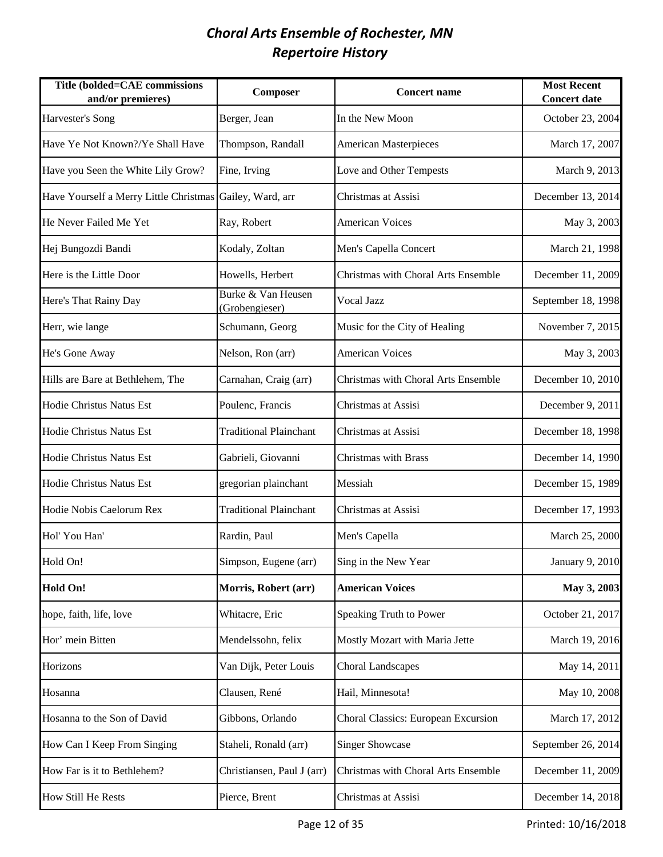| Title (bolded=CAE commissions<br>and/or premieres)       | Composer                             | <b>Concert name</b>                 | <b>Most Recent</b><br><b>Concert date</b> |
|----------------------------------------------------------|--------------------------------------|-------------------------------------|-------------------------------------------|
| Harvester's Song                                         | Berger, Jean                         | In the New Moon                     | October 23, 2004                          |
| Have Ye Not Known?/Ye Shall Have                         | Thompson, Randall                    | <b>American Masterpieces</b>        | March 17, 2007                            |
| Have you Seen the White Lily Grow?                       | Fine, Irving                         | Love and Other Tempests             | March 9, 2013                             |
| Have Yourself a Merry Little Christmas Gailey, Ward, arr |                                      | Christmas at Assisi                 | December 13, 2014                         |
| He Never Failed Me Yet                                   | Ray, Robert                          | <b>American Voices</b>              | May 3, 2003                               |
| Hej Bungozdi Bandi                                       | Kodaly, Zoltan                       | Men's Capella Concert               | March 21, 1998                            |
| Here is the Little Door                                  | Howells, Herbert                     | Christmas with Choral Arts Ensemble | December 11, 2009                         |
| Here's That Rainy Day                                    | Burke & Van Heusen<br>(Grobengieser) | Vocal Jazz                          | September 18, 1998                        |
| Herr, wie lange                                          | Schumann, Georg                      | Music for the City of Healing       | November 7, 2015                          |
| He's Gone Away                                           | Nelson, Ron (arr)                    | <b>American Voices</b>              | May 3, 2003                               |
| Hills are Bare at Bethlehem, The                         | Carnahan, Craig (arr)                | Christmas with Choral Arts Ensemble | December 10, 2010                         |
| Hodie Christus Natus Est                                 | Poulenc, Francis                     | Christmas at Assisi                 | December 9, 2011                          |
| Hodie Christus Natus Est                                 | <b>Traditional Plainchant</b>        | Christmas at Assisi                 | December 18, 1998                         |
| Hodie Christus Natus Est                                 | Gabrieli, Giovanni                   | Christmas with Brass                | December 14, 1990                         |
| Hodie Christus Natus Est                                 | gregorian plainchant                 | Messiah                             | December 15, 1989                         |
| Hodie Nobis Caelorum Rex                                 | <b>Traditional Plainchant</b>        | Christmas at Assisi                 | December 17, 1993                         |
| Hol' You Han'                                            | Rardin, Paul                         | Men's Capella                       | March 25, 2000                            |
| Hold On!                                                 | Simpson, Eugene (arr)                | Sing in the New Year                | January 9, 2010                           |
| <b>Hold On!</b>                                          | Morris, Robert (arr)                 | <b>American Voices</b>              | May 3, 2003                               |
| hope, faith, life, love                                  | Whitacre, Eric                       | Speaking Truth to Power             | October 21, 2017                          |
| Hor' mein Bitten                                         | Mendelssohn, felix                   | Mostly Mozart with Maria Jette      | March 19, 2016                            |
| Horizons                                                 | Van Dijk, Peter Louis                | <b>Choral Landscapes</b>            | May 14, 2011                              |
| Hosanna                                                  | Clausen, René                        | Hail, Minnesota!                    | May 10, 2008                              |
| Hosanna to the Son of David                              | Gibbons, Orlando                     | Choral Classics: European Excursion | March 17, 2012                            |
| How Can I Keep From Singing                              | Staheli, Ronald (arr)                | <b>Singer Showcase</b>              | September 26, 2014                        |
| How Far is it to Bethlehem?                              | Christiansen, Paul J (arr)           | Christmas with Choral Arts Ensemble | December 11, 2009                         |
| How Still He Rests                                       | Pierce, Brent                        | Christmas at Assisi                 | December 14, 2018                         |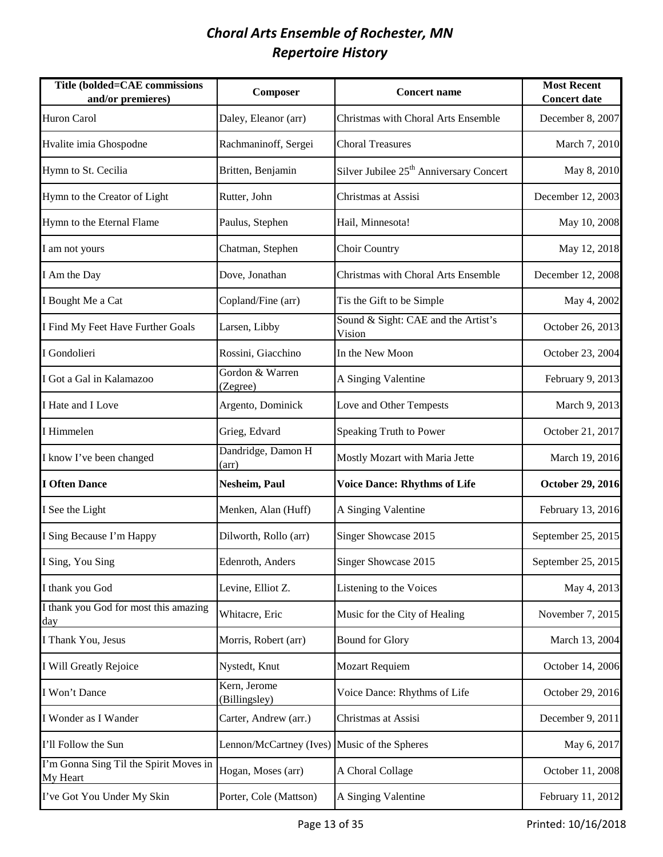| Title (bolded=CAE commissions<br>and/or premieres) | Composer                                     | <b>Concert name</b>                                 | <b>Most Recent</b><br><b>Concert date</b> |
|----------------------------------------------------|----------------------------------------------|-----------------------------------------------------|-------------------------------------------|
| <b>Huron Carol</b>                                 | Daley, Eleanor (arr)                         | Christmas with Choral Arts Ensemble                 | December 8, 2007                          |
| Hvalite imia Ghospodne                             | Rachmaninoff, Sergei                         | <b>Choral Treasures</b>                             | March 7, 2010                             |
| Hymn to St. Cecilia                                | Britten, Benjamin                            | Silver Jubilee 25 <sup>th</sup> Anniversary Concert | May 8, 2010                               |
| Hymn to the Creator of Light                       | Rutter, John                                 | Christmas at Assisi                                 | December 12, 2003                         |
| Hymn to the Eternal Flame                          | Paulus, Stephen                              | Hail, Minnesota!                                    | May 10, 2008                              |
| I am not yours                                     | Chatman, Stephen                             | Choir Country                                       | May 12, 2018                              |
| I Am the Day                                       | Dove, Jonathan                               | Christmas with Choral Arts Ensemble                 | December 12, 2008                         |
| I Bought Me a Cat                                  | Copland/Fine (arr)                           | Tis the Gift to be Simple                           | May 4, 2002                               |
| I Find My Feet Have Further Goals                  | Larsen, Libby                                | Sound & Sight: CAE and the Artist's<br>Vision       | October 26, 2013                          |
| I Gondolieri                                       | Rossini, Giacchino                           | In the New Moon                                     | October 23, 2004                          |
| I Got a Gal in Kalamazoo                           | Gordon & Warren<br>(Zegree)                  | A Singing Valentine                                 | February 9, 2013                          |
| I Hate and I Love                                  | Argento, Dominick                            | Love and Other Tempests                             | March 9, 2013                             |
| I Himmelen                                         | Grieg, Edvard                                | Speaking Truth to Power                             | October 21, 2017                          |
| I know I've been changed                           | Dandridge, Damon H<br>(arr)                  | Mostly Mozart with Maria Jette                      | March 19, 2016                            |
| <b>I Often Dance</b>                               | Nesheim, Paul                                | <b>Voice Dance: Rhythms of Life</b>                 | <b>October 29, 2016</b>                   |
| I See the Light                                    | Menken, Alan (Huff)                          | A Singing Valentine                                 | February 13, 2016                         |
| I Sing Because I'm Happy                           | Dilworth, Rollo (arr)                        | Singer Showcase 2015                                | September 25, 2015                        |
| I Sing, You Sing                                   | Edenroth, Anders                             | Singer Showcase 2015                                | September 25, 2015                        |
| I thank you God                                    | Levine, Elliot Z.                            | Listening to the Voices                             | May 4, 2013                               |
| I thank you God for most this amazing<br>day       | Whitacre, Eric                               | Music for the City of Healing                       | November 7, 2015                          |
| I Thank You, Jesus                                 | Morris, Robert (arr)                         | <b>Bound for Glory</b>                              | March 13, 2004                            |
| I Will Greatly Rejoice                             | Nystedt, Knut                                | <b>Mozart Requiem</b>                               | October 14, 2006                          |
| I Won't Dance                                      | Kern, Jerome<br>(Billingsley)                | Voice Dance: Rhythms of Life                        | October 29, 2016                          |
| I Wonder as I Wander                               | Carter, Andrew (arr.)                        | Christmas at Assisi                                 | December 9, 2011                          |
| I'll Follow the Sun                                | Lennon/McCartney (Ives) Music of the Spheres |                                                     | May 6, 2017                               |
| I'm Gonna Sing Til the Spirit Moves in<br>My Heart | Hogan, Moses (arr)                           | A Choral Collage                                    | October 11, 2008                          |
| I've Got You Under My Skin                         | Porter, Cole (Mattson)                       | A Singing Valentine                                 | February 11, 2012                         |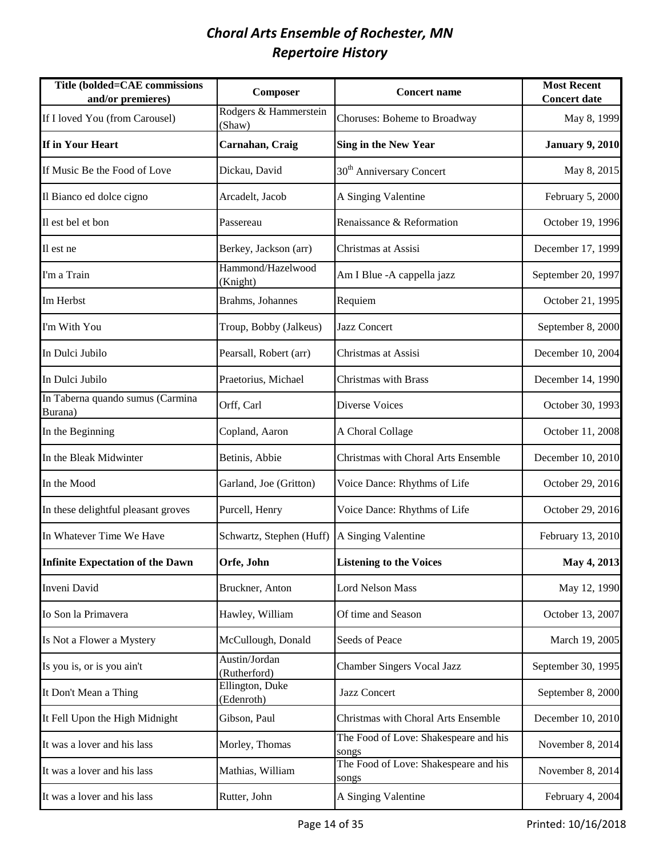| Title (bolded=CAE commissions<br>and/or premieres) | Composer                        | <b>Concert name</b>                            | <b>Most Recent</b><br><b>Concert date</b> |
|----------------------------------------------------|---------------------------------|------------------------------------------------|-------------------------------------------|
| If I loved You (from Carousel)                     | Rodgers & Hammerstein<br>(Shaw) | Choruses: Boheme to Broadway                   | May 8, 1999                               |
| If in Your Heart                                   | Carnahan, Craig                 | <b>Sing in the New Year</b>                    | <b>January 9, 2010</b>                    |
| If Music Be the Food of Love                       | Dickau, David                   | 30 <sup>th</sup> Anniversary Concert           | May 8, 2015                               |
| Il Bianco ed dolce cigno                           | Arcadelt, Jacob                 | A Singing Valentine                            | February 5, 2000                          |
| Il est bel et bon                                  | Passereau                       | Renaissance & Reformation                      | October 19, 1996                          |
| Il est ne                                          | Berkey, Jackson (arr)           | Christmas at Assisi                            | December 17, 1999                         |
| I'm a Train                                        | Hammond/Hazelwood<br>(Knight)   | Am I Blue - A cappella jazz                    | September 20, 1997                        |
| Im Herbst                                          | Brahms, Johannes                | Requiem                                        | October 21, 1995                          |
| I'm With You                                       | Troup, Bobby (Jalkeus)          | Jazz Concert                                   | September 8, 2000                         |
| In Dulci Jubilo                                    | Pearsall, Robert (arr)          | Christmas at Assisi                            | December 10, 2004                         |
| In Dulci Jubilo                                    | Praetorius, Michael             | <b>Christmas with Brass</b>                    | December 14, 1990                         |
| In Taberna quando sumus (Carmina<br>Burana)        | Orff, Carl                      | Diverse Voices                                 | October 30, 1993                          |
| In the Beginning                                   | Copland, Aaron                  | A Choral Collage                               | October 11, 2008                          |
| In the Bleak Midwinter                             | Betinis, Abbie                  | Christmas with Choral Arts Ensemble            | December 10, 2010                         |
| In the Mood                                        | Garland, Joe (Gritton)          | Voice Dance: Rhythms of Life                   | October 29, 2016                          |
| In these delightful pleasant groves                | Purcell, Henry                  | Voice Dance: Rhythms of Life                   | October 29, 2016                          |
| In Whatever Time We Have                           | Schwartz, Stephen (Huff)        | A Singing Valentine                            | February 13, 2010                         |
| <b>Infinite Expectation of the Dawn</b>            | Orfe, John                      | <b>Listening to the Voices</b>                 | May 4, 2013                               |
| Inveni David                                       | Bruckner, Anton                 | Lord Nelson Mass                               | May 12, 1990                              |
| Io Son la Primavera                                | Hawley, William                 | Of time and Season                             | October 13, 2007                          |
| Is Not a Flower a Mystery                          | McCullough, Donald              | Seeds of Peace                                 | March 19, 2005                            |
| Is you is, or is you ain't                         | Austin/Jordan<br>(Rutherford)   | <b>Chamber Singers Vocal Jazz</b>              | September 30, 1995                        |
| It Don't Mean a Thing                              | Ellington, Duke<br>(Edenroth)   | Jazz Concert                                   | September 8, 2000                         |
| It Fell Upon the High Midnight                     | Gibson, Paul                    | Christmas with Choral Arts Ensemble            | December 10, 2010                         |
| It was a lover and his lass                        | Morley, Thomas                  | The Food of Love: Shakespeare and his<br>songs | November 8, 2014                          |
| It was a lover and his lass                        | Mathias, William                | The Food of Love: Shakespeare and his<br>songs | November 8, 2014                          |
| It was a lover and his lass                        | Rutter, John                    | A Singing Valentine                            | February 4, 2004                          |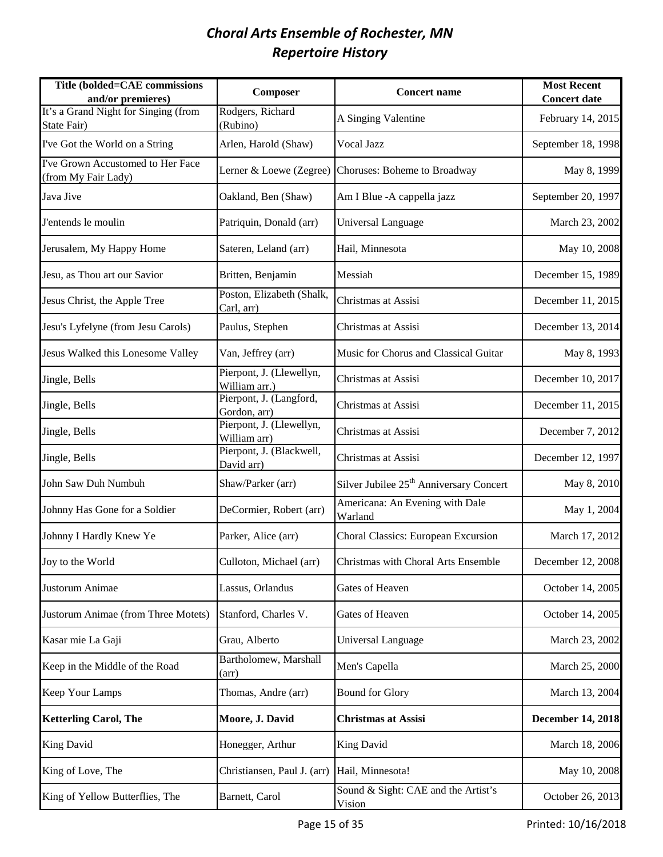| Title (bolded=CAE commissions<br>and/or premieres)       | Composer                                  | <b>Concert name</b>                                  | <b>Most Recent</b><br><b>Concert date</b> |
|----------------------------------------------------------|-------------------------------------------|------------------------------------------------------|-------------------------------------------|
| It's a Grand Night for Singing (from<br>State Fair)      | Rodgers, Richard<br>(Rubino)              | A Singing Valentine                                  | February 14, 2015                         |
| I've Got the World on a String                           | Arlen, Harold (Shaw)                      | Vocal Jazz                                           | September 18, 1998                        |
| I've Grown Accustomed to Her Face<br>(from My Fair Lady) |                                           | Lerner & Loewe (Zegree) Choruses: Boheme to Broadway | May 8, 1999                               |
| Java Jive                                                | Oakland, Ben (Shaw)                       | Am I Blue - A cappella jazz                          | September 20, 1997                        |
| J'entends le moulin                                      | Patriquin, Donald (arr)                   | Universal Language                                   | March 23, 2002                            |
| Jerusalem, My Happy Home                                 | Sateren, Leland (arr)                     | Hail, Minnesota                                      | May 10, 2008                              |
| Jesu, as Thou art our Savior                             | Britten, Benjamin                         | Messiah                                              | December 15, 1989                         |
| Jesus Christ, the Apple Tree                             | Poston, Elizabeth (Shalk,<br>Carl, arr)   | Christmas at Assisi                                  | December 11, 2015                         |
| Jesu's Lyfelyne (from Jesu Carols)                       | Paulus, Stephen                           | Christmas at Assisi                                  | December 13, 2014                         |
| Jesus Walked this Lonesome Valley                        | Van, Jeffrey (arr)                        | Music for Chorus and Classical Guitar                | May 8, 1993                               |
| Jingle, Bells                                            | Pierpont, J. (Llewellyn,<br>William arr.) | Christmas at Assisi                                  | December 10, 2017                         |
| Jingle, Bells                                            | Pierpont, J. (Langford,<br>Gordon, arr)   | Christmas at Assisi                                  | December 11, 2015                         |
| Jingle, Bells                                            | Pierpont, J. (Llewellyn,<br>William arr)  | Christmas at Assisi                                  | December 7, 2012                          |
| Jingle, Bells                                            | Pierpont, J. (Blackwell,<br>David arr)    | Christmas at Assisi                                  | December 12, 1997                         |
| John Saw Duh Numbuh                                      | Shaw/Parker (arr)                         | Silver Jubilee 25 <sup>th</sup> Anniversary Concert  | May 8, 2010                               |
| Johnny Has Gone for a Soldier                            | DeCormier, Robert (arr)                   | Americana: An Evening with Dale<br>Warland           | May 1, 2004                               |
| Johnny I Hardly Knew Ye                                  | Parker, Alice (arr)                       | Choral Classics: European Excursion                  | March 17, 2012                            |
| Joy to the World                                         | Culloton, Michael (arr)                   | Christmas with Choral Arts Ensemble                  | December 12, 2008                         |
| Justorum Animae                                          | Lassus, Orlandus                          | Gates of Heaven                                      | October 14, 2005                          |
| Justorum Animae (from Three Motets)                      | Stanford, Charles V.                      | Gates of Heaven                                      | October 14, 2005                          |
| Kasar mie La Gaji                                        | Grau, Alberto                             | Universal Language                                   | March 23, 2002                            |
| Keep in the Middle of the Road                           | Bartholomew, Marshall<br>(arr)            | Men's Capella                                        | March 25, 2000                            |
| Keep Your Lamps                                          | Thomas, Andre (arr)                       | <b>Bound for Glory</b>                               | March 13, 2004                            |
| <b>Ketterling Carol, The</b>                             | Moore, J. David                           | <b>Christmas at Assisi</b>                           | <b>December 14, 2018</b>                  |
| <b>King David</b>                                        | Honegger, Arthur                          | <b>King David</b>                                    | March 18, 2006                            |
| King of Love, The                                        | Christiansen, Paul J. (arr)               | Hail, Minnesota!                                     | May 10, 2008                              |
| King of Yellow Butterflies, The                          | Barnett, Carol                            | Sound & Sight: CAE and the Artist's<br>Vision        | October 26, 2013                          |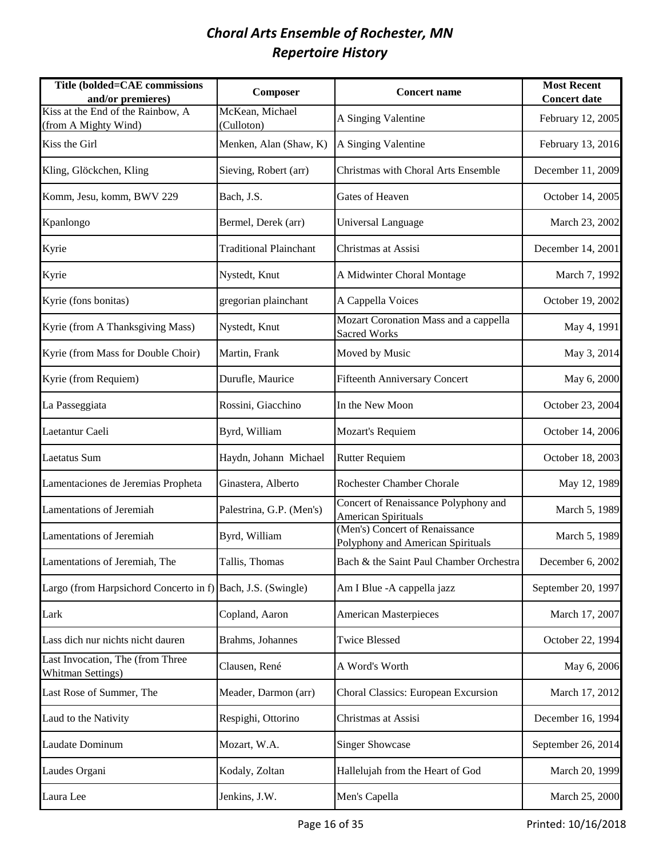| Title (bolded=CAE commissions<br>and/or premieres)           | Composer                      | <b>Concert name</b>                                                 | <b>Most Recent</b><br><b>Concert date</b> |
|--------------------------------------------------------------|-------------------------------|---------------------------------------------------------------------|-------------------------------------------|
| Kiss at the End of the Rainbow, A<br>(from A Mighty Wind)    | McKean, Michael<br>(Culloton) | A Singing Valentine                                                 | February 12, 2005                         |
| Kiss the Girl                                                | Menken, Alan (Shaw, K)        | A Singing Valentine                                                 | February 13, 2016                         |
| Kling, Glöckchen, Kling                                      | Sieving, Robert (arr)         | Christmas with Choral Arts Ensemble                                 | December 11, 2009                         |
| Komm, Jesu, komm, BWV 229                                    | Bach, J.S.                    | Gates of Heaven                                                     | October 14, 2005                          |
| Kpanlongo                                                    | Bermel, Derek (arr)           | Universal Language                                                  | March 23, 2002                            |
| Kyrie                                                        | <b>Traditional Plainchant</b> | Christmas at Assisi                                                 | December 14, 2001                         |
| Kyrie                                                        | Nystedt, Knut                 | A Midwinter Choral Montage                                          | March 7, 1992                             |
| Kyrie (fons bonitas)                                         | gregorian plainchant          | A Cappella Voices                                                   | October 19, 2002                          |
| Kyrie (from A Thanksgiving Mass)                             | Nystedt, Knut                 | Mozart Coronation Mass and a cappella<br>Sacred Works               | May 4, 1991                               |
| Kyrie (from Mass for Double Choir)                           | Martin, Frank                 | Moved by Music                                                      | May 3, 2014                               |
| Kyrie (from Requiem)                                         | Durufle, Maurice              | <b>Fifteenth Anniversary Concert</b>                                | May 6, 2000                               |
| La Passeggiata                                               | Rossini, Giacchino            | In the New Moon                                                     | October 23, 2004                          |
| Laetantur Caeli                                              | Byrd, William                 | Mozart's Requiem                                                    | October 14, 2006                          |
| Laetatus Sum                                                 | Haydn, Johann Michael         | <b>Rutter Requiem</b>                                               | October 18, 2003                          |
| Lamentaciones de Jeremias Propheta                           | Ginastera, Alberto            | <b>Rochester Chamber Chorale</b>                                    | May 12, 1989                              |
| <b>Lamentations of Jeremiah</b>                              | Palestrina, G.P. (Men's)      | Concert of Renaissance Polyphony and<br><b>American Spirituals</b>  | March 5, 1989                             |
| <b>Lamentations of Jeremiah</b>                              | Byrd, William                 | (Men's) Concert of Renaissance<br>Polyphony and American Spirituals | March 5, 1989                             |
| Lamentations of Jeremiah, The                                | Tallis, Thomas                | Bach & the Saint Paul Chamber Orchestra                             | December 6, 2002                          |
| Largo (from Harpsichord Concerto in f) Bach, J.S. (Swingle)  |                               | Am I Blue - A cappella jazz                                         | September 20, 1997                        |
| Lark                                                         | Copland, Aaron                | <b>American Masterpieces</b>                                        | March 17, 2007                            |
| Lass dich nur nichts nicht dauren                            | Brahms, Johannes              | <b>Twice Blessed</b>                                                | October 22, 1994                          |
| Last Invocation, The (from Three<br><b>Whitman Settings)</b> | Clausen, René                 | A Word's Worth                                                      | May 6, 2006                               |
| Last Rose of Summer, The                                     | Meader, Darmon (arr)          | Choral Classics: European Excursion                                 | March 17, 2012                            |
| Laud to the Nativity                                         | Respighi, Ottorino            | Christmas at Assisi                                                 | December 16, 1994                         |
| Laudate Dominum                                              | Mozart, W.A.                  | <b>Singer Showcase</b>                                              | September 26, 2014                        |
| Laudes Organi                                                | Kodaly, Zoltan                | Hallelujah from the Heart of God                                    | March 20, 1999                            |
| Laura Lee                                                    | Jenkins, J.W.                 | Men's Capella                                                       | March 25, 2000                            |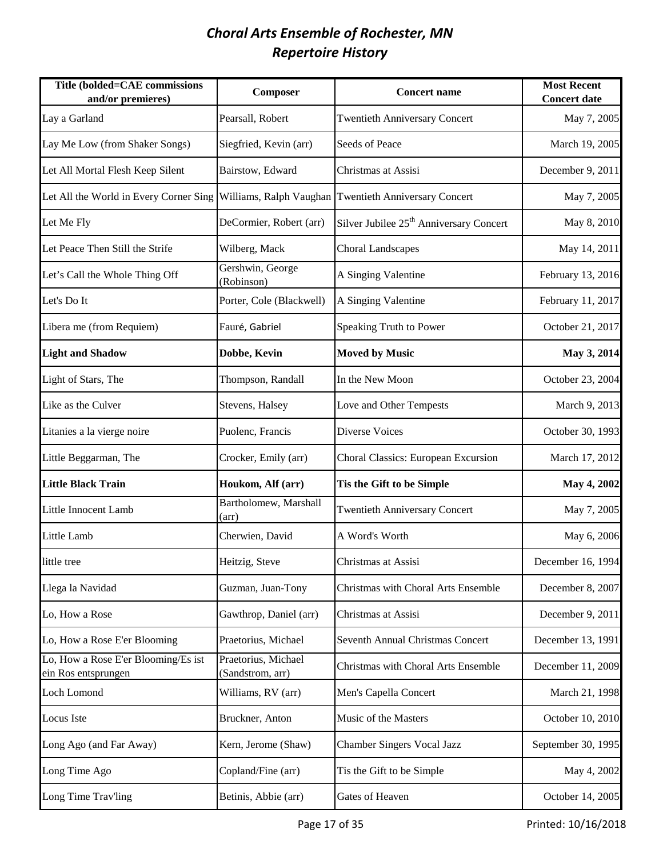| Title (bolded=CAE commissions<br>and/or premieres)                                               | Composer                                | <b>Concert name</b>                                 | <b>Most Recent</b><br><b>Concert date</b> |
|--------------------------------------------------------------------------------------------------|-----------------------------------------|-----------------------------------------------------|-------------------------------------------|
| Lay a Garland                                                                                    | Pearsall, Robert                        | <b>Twentieth Anniversary Concert</b>                | May 7, 2005                               |
| Lay Me Low (from Shaker Songs)                                                                   | Siegfried, Kevin (arr)                  | Seeds of Peace                                      | March 19, 2005                            |
| Let All Mortal Flesh Keep Silent                                                                 | Bairstow, Edward                        | Christmas at Assisi                                 | December 9, 2011                          |
| Let All the World in Every Corner Sing   Williams, Ralph Vaughan   Twentieth Anniversary Concert |                                         |                                                     | May 7, 2005                               |
| Let Me Fly                                                                                       | DeCormier, Robert (arr)                 | Silver Jubilee 25 <sup>th</sup> Anniversary Concert | May 8, 2010                               |
| Let Peace Then Still the Strife                                                                  | Wilberg, Mack                           | <b>Choral Landscapes</b>                            | May 14, 2011                              |
| Let's Call the Whole Thing Off                                                                   | Gershwin, George<br>(Robinson)          | A Singing Valentine                                 | February 13, 2016                         |
| Let's Do It                                                                                      | Porter, Cole (Blackwell)                | A Singing Valentine                                 | February 11, 2017                         |
| Libera me (from Requiem)                                                                         | Fauré, Gabriel                          | Speaking Truth to Power                             | October 21, 2017                          |
| <b>Light and Shadow</b>                                                                          | Dobbe, Kevin                            | <b>Moved by Music</b>                               | May 3, 2014                               |
| Light of Stars, The                                                                              | Thompson, Randall                       | In the New Moon                                     | October 23, 2004                          |
| Like as the Culver                                                                               | Stevens, Halsey                         | Love and Other Tempests                             | March 9, 2013                             |
| Litanies a la vierge noire                                                                       | Puolenc, Francis                        | <b>Diverse Voices</b>                               | October 30, 1993                          |
| Little Beggarman, The                                                                            | Crocker, Emily (arr)                    | Choral Classics: European Excursion                 | March 17, 2012                            |
| <b>Little Black Train</b>                                                                        | Houkom, Alf (arr)                       | Tis the Gift to be Simple                           | May 4, 2002                               |
| Little Innocent Lamb                                                                             | Bartholomew, Marshall<br>(arr)          | <b>Twentieth Anniversary Concert</b>                | May 7, 2005                               |
| Little Lamb                                                                                      | Cherwien, David                         | A Word's Worth                                      | May 6, 2006                               |
| little tree                                                                                      | Heitzig, Steve                          | Christmas at Assisi                                 | December 16, 1994                         |
| Llega la Navidad                                                                                 | Guzman, Juan-Tony                       | Christmas with Choral Arts Ensemble                 | December 8, 2007                          |
| Lo, How a Rose                                                                                   | Gawthrop, Daniel (arr)                  | Christmas at Assisi                                 | December 9, 2011                          |
| Lo, How a Rose E'er Blooming                                                                     | Praetorius, Michael                     | Seventh Annual Christmas Concert                    | December 13, 1991                         |
| Lo, How a Rose E'er Blooming/Es ist<br>ein Ros entsprungen                                       | Praetorius, Michael<br>(Sandstrom, arr) | Christmas with Choral Arts Ensemble                 | December 11, 2009                         |
| Loch Lomond                                                                                      | Williams, RV (arr)                      | Men's Capella Concert                               | March 21, 1998                            |
| Locus Iste                                                                                       | Bruckner, Anton                         | Music of the Masters                                | October 10, 2010                          |
| Long Ago (and Far Away)                                                                          | Kern, Jerome (Shaw)                     | <b>Chamber Singers Vocal Jazz</b>                   | September 30, 1995                        |
| Long Time Ago                                                                                    | Copland/Fine (arr)                      | Tis the Gift to be Simple                           | May 4, 2002                               |
| Long Time Trav'ling                                                                              | Betinis, Abbie (arr)                    | Gates of Heaven                                     | October 14, 2005                          |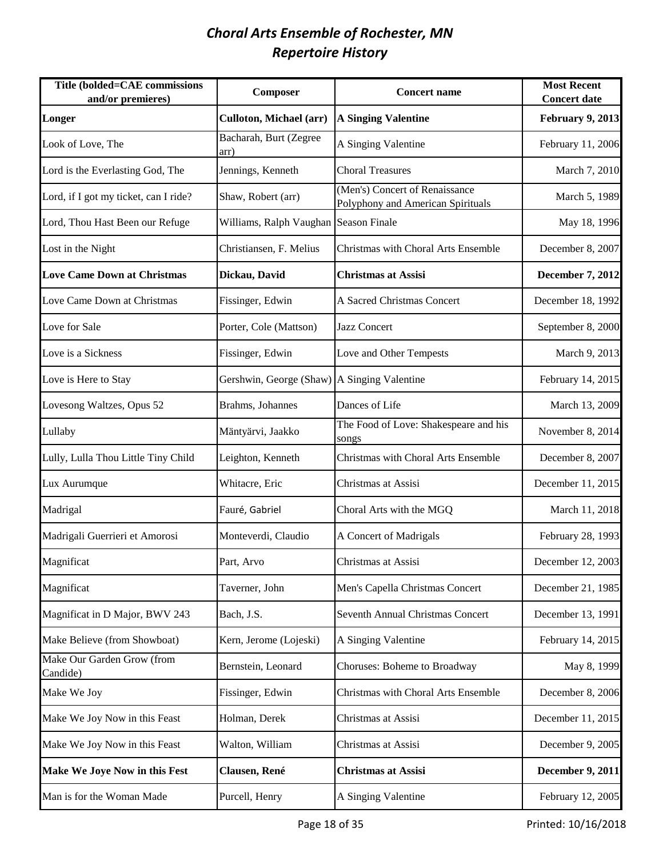| Title (bolded=CAE commissions<br>and/or premieres) | Composer                                    | <b>Concert name</b>                                                 | <b>Most Recent</b><br><b>Concert date</b> |
|----------------------------------------------------|---------------------------------------------|---------------------------------------------------------------------|-------------------------------------------|
| Longer                                             | Culloton, Michael (arr)                     | <b>A Singing Valentine</b>                                          | February 9, 2013                          |
| Look of Love, The                                  | Bacharah, Burt (Zegree<br>arr)              | A Singing Valentine                                                 | February 11, 2006                         |
| Lord is the Everlasting God, The                   | Jennings, Kenneth                           | <b>Choral Treasures</b>                                             | March 7, 2010                             |
| Lord, if I got my ticket, can I ride?              | Shaw, Robert (arr)                          | (Men's) Concert of Renaissance<br>Polyphony and American Spirituals | March 5, 1989                             |
| Lord, Thou Hast Been our Refuge                    | Williams, Ralph Vaughan Season Finale       |                                                                     | May 18, 1996                              |
| Lost in the Night                                  | Christiansen, F. Melius                     | Christmas with Choral Arts Ensemble                                 | December 8, 2007                          |
| <b>Love Came Down at Christmas</b>                 | Dickau, David                               | <b>Christmas at Assisi</b>                                          | <b>December 7, 2012</b>                   |
| Love Came Down at Christmas                        | Fissinger, Edwin                            | A Sacred Christmas Concert                                          | December 18, 1992                         |
| Love for Sale                                      | Porter, Cole (Mattson)                      | Jazz Concert                                                        | September 8, 2000                         |
| Love is a Sickness                                 | Fissinger, Edwin                            | Love and Other Tempests                                             | March 9, 2013                             |
| Love is Here to Stay                               | Gershwin, George (Shaw) A Singing Valentine |                                                                     | February 14, 2015                         |
| Lovesong Waltzes, Opus 52                          | Brahms, Johannes                            | Dances of Life                                                      | March 13, 2009                            |
| Lullaby                                            | Mäntyärvi, Jaakko                           | The Food of Love: Shakespeare and his<br>songs                      | November 8, 2014                          |
| Lully, Lulla Thou Little Tiny Child                | Leighton, Kenneth                           | Christmas with Choral Arts Ensemble                                 | December 8, 2007                          |
| Lux Aurumque                                       | Whitacre, Eric                              | Christmas at Assisi                                                 | December 11, 2015                         |
| Madrigal                                           | Fauré, Gabriel                              | Choral Arts with the MGQ                                            | March 11, 2018                            |
| Madrigali Guerrieri et Amorosi                     | Monteverdi, Claudio                         | A Concert of Madrigals                                              | February 28, 1993                         |
| Magnificat                                         | Part, Arvo                                  | Christmas at Assisi                                                 | December 12, 2003                         |
| Magnificat                                         | Taverner, John                              | Men's Capella Christmas Concert                                     | December 21, 1985                         |
| Magnificat in D Major, BWV 243                     | Bach, J.S.                                  | Seventh Annual Christmas Concert                                    | December 13, 1991                         |
| Make Believe (from Showboat)                       | Kern, Jerome (Lojeski)                      | A Singing Valentine                                                 | February 14, 2015                         |
| Make Our Garden Grow (from<br>Candide)             | Bernstein, Leonard                          | Choruses: Boheme to Broadway                                        | May 8, 1999                               |
| Make We Joy                                        | Fissinger, Edwin                            | Christmas with Choral Arts Ensemble                                 | December 8, 2006                          |
| Make We Joy Now in this Feast                      | Holman, Derek                               | Christmas at Assisi                                                 | December 11, 2015                         |
| Make We Joy Now in this Feast                      | Walton, William                             | Christmas at Assisi                                                 | December 9, 2005                          |
| Make We Joye Now in this Fest                      | Clausen, René                               | <b>Christmas at Assisi</b>                                          | <b>December 9, 2011</b>                   |
| Man is for the Woman Made                          | Purcell, Henry                              | A Singing Valentine                                                 | February 12, 2005                         |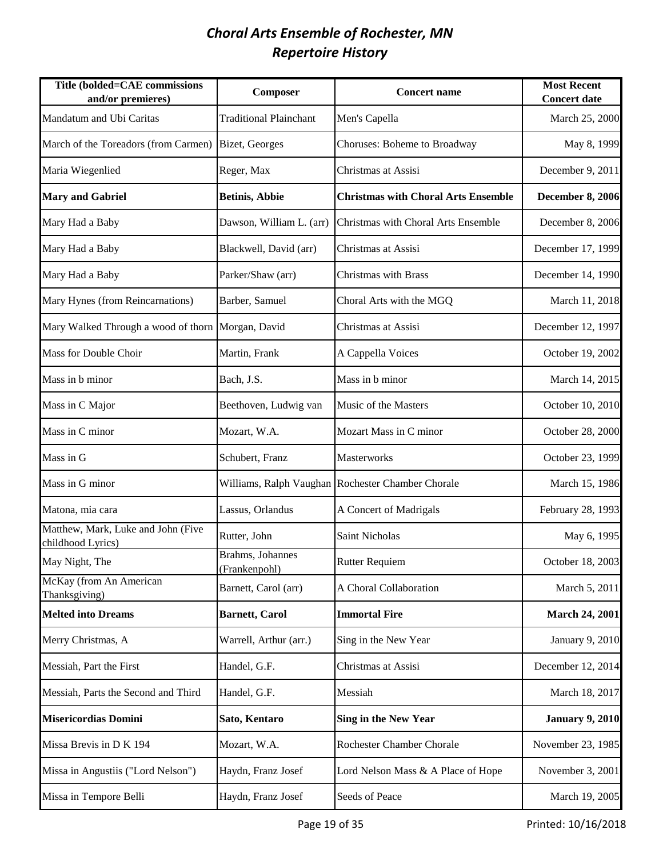| Title (bolded=CAE commissions<br>and/or premieres)      | Composer                          | <b>Concert name</b>                               | <b>Most Recent</b><br><b>Concert date</b> |
|---------------------------------------------------------|-----------------------------------|---------------------------------------------------|-------------------------------------------|
| Mandatum and Ubi Caritas                                | <b>Traditional Plainchant</b>     | Men's Capella                                     | March 25, 2000                            |
| March of the Toreadors (from Carmen)                    | Bizet, Georges                    | Choruses: Boheme to Broadway                      | May 8, 1999                               |
| Maria Wiegenlied                                        | Reger, Max                        | Christmas at Assisi                               | December 9, 2011                          |
| <b>Mary and Gabriel</b>                                 | <b>Betinis, Abbie</b>             | <b>Christmas with Choral Arts Ensemble</b>        | <b>December 8, 2006</b>                   |
| Mary Had a Baby                                         | Dawson, William L. (arr)          | Christmas with Choral Arts Ensemble               | December 8, 2006                          |
| Mary Had a Baby                                         | Blackwell, David (arr)            | Christmas at Assisi                               | December 17, 1999                         |
| Mary Had a Baby                                         | Parker/Shaw (arr)                 | <b>Christmas with Brass</b>                       | December 14, 1990                         |
| Mary Hynes (from Reincarnations)                        | Barber, Samuel                    | Choral Arts with the MGQ                          | March 11, 2018                            |
| Mary Walked Through a wood of thorn Morgan, David       |                                   | Christmas at Assisi                               | December 12, 1997                         |
| Mass for Double Choir                                   | Martin, Frank                     | A Cappella Voices                                 | October 19, 2002                          |
| Mass in b minor                                         | Bach, J.S.                        | Mass in b minor                                   | March 14, 2015                            |
| Mass in C Major                                         | Beethoven, Ludwig van             | Music of the Masters                              | October 10, 2010                          |
| Mass in C minor                                         | Mozart, W.A.                      | Mozart Mass in C minor                            | October 28, 2000                          |
| Mass in G                                               | Schubert, Franz                   | Masterworks                                       | October 23, 1999                          |
| Mass in G minor                                         |                                   | Williams, Ralph Vaughan Rochester Chamber Chorale | March 15, 1986                            |
| Matona, mia cara                                        | Lassus, Orlandus                  | A Concert of Madrigals                            | February 28, 1993                         |
| Matthew, Mark, Luke and John (Five<br>childhood Lyrics) | Rutter, John                      | <b>Saint Nicholas</b>                             | May 6, 1995                               |
| May Night, The                                          | Brahms, Johannes<br>(Frankenpohl) | <b>Rutter Requiem</b>                             | October 18, 2003                          |
| McKay (from An American<br>Thanksgiving)                | Barnett, Carol (arr)              | A Choral Collaboration                            | March 5, 2011                             |
| <b>Melted into Dreams</b>                               | <b>Barnett, Carol</b>             | <b>Immortal Fire</b>                              | <b>March 24, 2001</b>                     |
| Merry Christmas, A                                      | Warrell, Arthur (arr.)            | Sing in the New Year                              | January 9, 2010                           |
| Messiah, Part the First                                 | Handel, G.F.                      | Christmas at Assisi                               | December 12, 2014                         |
| Messiah, Parts the Second and Third                     | Handel, G.F.                      | Messiah                                           | March 18, 2017                            |
| <b>Misericordias Domini</b>                             | Sato, Kentaro                     | <b>Sing in the New Year</b>                       | <b>January 9, 2010</b>                    |
| Missa Brevis in D K 194                                 | Mozart, W.A.                      | <b>Rochester Chamber Chorale</b>                  | November 23, 1985                         |
| Missa in Angustiis ("Lord Nelson")                      | Haydn, Franz Josef                | Lord Nelson Mass & A Place of Hope                | November 3, 2001                          |
| Missa in Tempore Belli                                  | Haydn, Franz Josef                | Seeds of Peace                                    | March 19, 2005                            |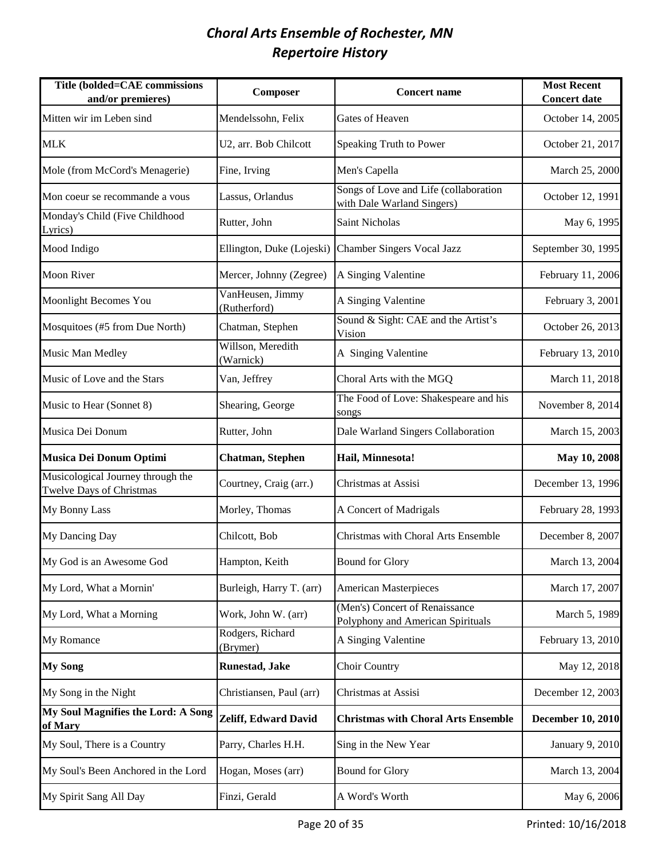| Title (bolded=CAE commissions<br>and/or premieres)            | Composer                         | <b>Concert name</b>                                                 | <b>Most Recent</b><br><b>Concert date</b> |
|---------------------------------------------------------------|----------------------------------|---------------------------------------------------------------------|-------------------------------------------|
| Mitten wir im Leben sind                                      | Mendelssohn, Felix               | Gates of Heaven                                                     | October 14, 2005                          |
| <b>MLK</b>                                                    | U2, arr. Bob Chilcott            | Speaking Truth to Power                                             | October 21, 2017                          |
| Mole (from McCord's Menagerie)                                | Fine, Irving                     | Men's Capella                                                       | March 25, 2000                            |
| Mon coeur se recommande a vous                                | Lassus, Orlandus                 | Songs of Love and Life (collaboration<br>with Dale Warland Singers) | October 12, 1991                          |
| Monday's Child (Five Childhood<br>Lyrics)                     | Rutter, John                     | Saint Nicholas                                                      | May 6, 1995                               |
| Mood Indigo                                                   | Ellington, Duke (Lojeski)        | Chamber Singers Vocal Jazz                                          | September 30, 1995                        |
| <b>Moon River</b>                                             | Mercer, Johnny (Zegree)          | A Singing Valentine                                                 | February 11, 2006                         |
| <b>Moonlight Becomes You</b>                                  | VanHeusen, Jimmy<br>(Rutherford) | A Singing Valentine                                                 | February 3, 2001                          |
| Mosquitoes (#5 from Due North)                                | Chatman, Stephen                 | Sound & Sight: CAE and the Artist's<br>Vision                       | October 26, 2013                          |
| Music Man Medley                                              | Willson, Meredith<br>(Warnick)   | A Singing Valentine                                                 | February 13, 2010                         |
| Music of Love and the Stars                                   | Van, Jeffrey                     | Choral Arts with the MGQ                                            | March 11, 2018                            |
| Music to Hear (Sonnet 8)                                      | Shearing, George                 | The Food of Love: Shakespeare and his<br>songs                      | November 8, 2014                          |
| Musica Dei Donum                                              | Rutter, John                     | Dale Warland Singers Collaboration                                  | March 15, 2003                            |
| <b>Musica Dei Donum Optimi</b>                                | <b>Chatman</b> , Stephen         | Hail, Minnesota!                                                    | May 10, 2008                              |
| Musicological Journey through the<br>Twelve Days of Christmas | Courtney, Craig (arr.)           | Christmas at Assisi                                                 | December 13, 1996                         |
| My Bonny Lass                                                 | Morley, Thomas                   | A Concert of Madrigals                                              | February 28, 1993                         |
| My Dancing Day                                                | Chilcott, Bob                    | Christmas with Choral Arts Ensemble                                 | December 8, 2007                          |
| My God is an Awesome God                                      | Hampton, Keith                   | <b>Bound for Glory</b>                                              | March 13, 2004                            |
| My Lord, What a Mornin'                                       | Burleigh, Harry T. (arr)         | <b>American Masterpieces</b>                                        | March 17, 2007                            |
| My Lord, What a Morning                                       | Work, John W. (arr)              | (Men's) Concert of Renaissance<br>Polyphony and American Spirituals | March 5, 1989                             |
| My Romance                                                    | Rodgers, Richard<br>(Brymer)     | A Singing Valentine                                                 | February 13, 2010                         |
| <b>My Song</b>                                                | Runestad, Jake                   | Choir Country                                                       | May 12, 2018                              |
| My Song in the Night                                          | Christiansen, Paul (arr)         | Christmas at Assisi                                                 | December 12, 2003                         |
| My Soul Magnifies the Lord: A Song<br>of Mary                 | <b>Zeliff, Edward David</b>      | <b>Christmas with Choral Arts Ensemble</b>                          | <b>December 10, 2010</b>                  |
| My Soul, There is a Country                                   | Parry, Charles H.H.              | Sing in the New Year                                                | January 9, 2010                           |
| My Soul's Been Anchored in the Lord                           | Hogan, Moses (arr)               | <b>Bound for Glory</b>                                              | March 13, 2004                            |
| My Spirit Sang All Day                                        | Finzi, Gerald                    | A Word's Worth                                                      | May 6, 2006                               |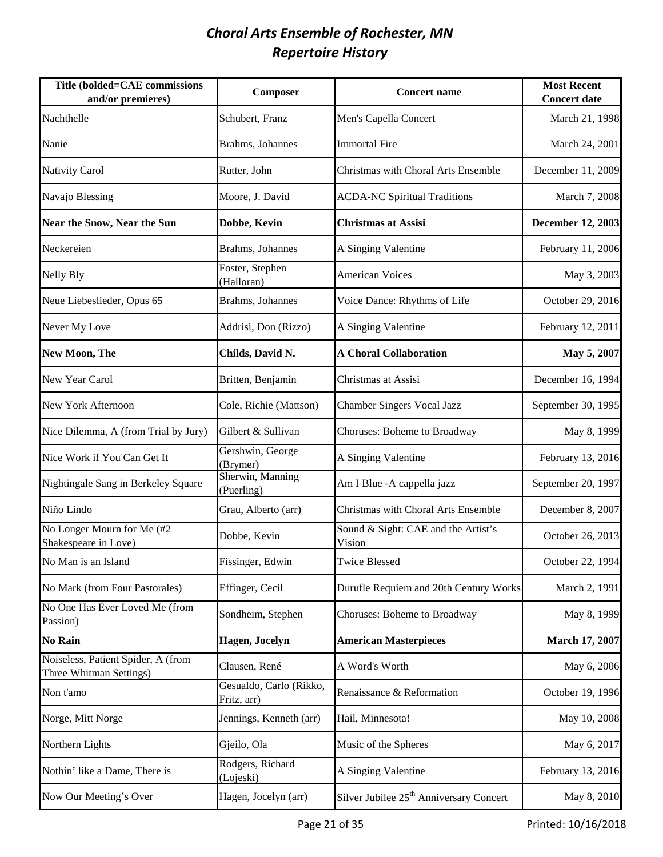| <b>Title (bolded=CAE commissions</b><br>and/or premieres)     | Composer                               | <b>Concert name</b>                                 | <b>Most Recent</b><br><b>Concert date</b> |
|---------------------------------------------------------------|----------------------------------------|-----------------------------------------------------|-------------------------------------------|
| Nachthelle                                                    | Schubert, Franz                        | Men's Capella Concert                               | March 21, 1998                            |
| Nanie                                                         | Brahms, Johannes                       | <b>Immortal Fire</b>                                | March 24, 2001                            |
| <b>Nativity Carol</b>                                         | Rutter, John                           | Christmas with Choral Arts Ensemble                 | December 11, 2009                         |
| Navajo Blessing                                               | Moore, J. David                        | <b>ACDA-NC Spiritual Traditions</b>                 | March 7, 2008                             |
| <b>Near the Snow, Near the Sun</b>                            | Dobbe, Kevin                           | <b>Christmas at Assisi</b>                          | <b>December 12, 2003</b>                  |
| Neckereien                                                    | Brahms, Johannes                       | A Singing Valentine                                 | February 11, 2006                         |
| <b>Nelly Bly</b>                                              | Foster, Stephen<br>(Halloran)          | <b>American Voices</b>                              | May 3, 2003                               |
| Neue Liebeslieder, Opus 65                                    | Brahms, Johannes                       | Voice Dance: Rhythms of Life                        | October 29, 2016                          |
| Never My Love                                                 | Addrisi, Don (Rizzo)                   | A Singing Valentine                                 | February 12, 2011                         |
| <b>New Moon, The</b>                                          | Childs, David N.                       | <b>A Choral Collaboration</b>                       | May 5, 2007                               |
| New Year Carol                                                | Britten, Benjamin                      | Christmas at Assisi                                 | December 16, 1994                         |
| New York Afternoon                                            | Cole, Richie (Mattson)                 | <b>Chamber Singers Vocal Jazz</b>                   | September 30, 1995                        |
| Nice Dilemma, A (from Trial by Jury)                          | Gilbert & Sullivan                     | Choruses: Boheme to Broadway                        | May 8, 1999                               |
| Nice Work if You Can Get It                                   | Gershwin, George<br>(Brymer)           | A Singing Valentine                                 | February 13, 2016                         |
| Nightingale Sang in Berkeley Square                           | Sherwin, Manning<br>(Puerling)         | Am I Blue - A cappella jazz                         | September 20, 1997                        |
| Niño Lindo                                                    | Grau, Alberto (arr)                    | Christmas with Choral Arts Ensemble                 | December 8, 2007                          |
| No Longer Mourn for Me (#2<br>Shakespeare in Love)            | Dobbe, Kevin                           | Sound & Sight: CAE and the Artist's<br>Vision       | October 26, 2013                          |
| No Man is an Island                                           | Fissinger, Edwin                       | <b>Twice Blessed</b>                                | October 22, 1994                          |
| No Mark (from Four Pastorales)                                | Effinger, Cecil                        | Durufle Requiem and 20th Century Works              | March 2, 1991                             |
| No One Has Ever Loved Me (from<br>Passion)                    | Sondheim, Stephen                      | Choruses: Boheme to Broadway                        | May 8, 1999                               |
| <b>No Rain</b>                                                | Hagen, Jocelyn                         | <b>American Masterpieces</b>                        | <b>March 17, 2007</b>                     |
| Noiseless, Patient Spider, A (from<br>Three Whitman Settings) | Clausen, René                          | A Word's Worth                                      | May 6, 2006                               |
| Non t'amo                                                     | Gesualdo, Carlo (Rikko,<br>Fritz, arr) | Renaissance & Reformation                           | October 19, 1996                          |
| Norge, Mitt Norge                                             | Jennings, Kenneth (arr)                | Hail, Minnesota!                                    | May 10, 2008                              |
| Northern Lights                                               | Gjeilo, Ola                            | Music of the Spheres                                | May 6, 2017                               |
| Nothin' like a Dame, There is                                 | Rodgers, Richard<br>(Lojeski)          | A Singing Valentine                                 | February 13, 2016                         |
| Now Our Meeting's Over                                        | Hagen, Jocelyn (arr)                   | Silver Jubilee 25 <sup>th</sup> Anniversary Concert | May 8, 2010                               |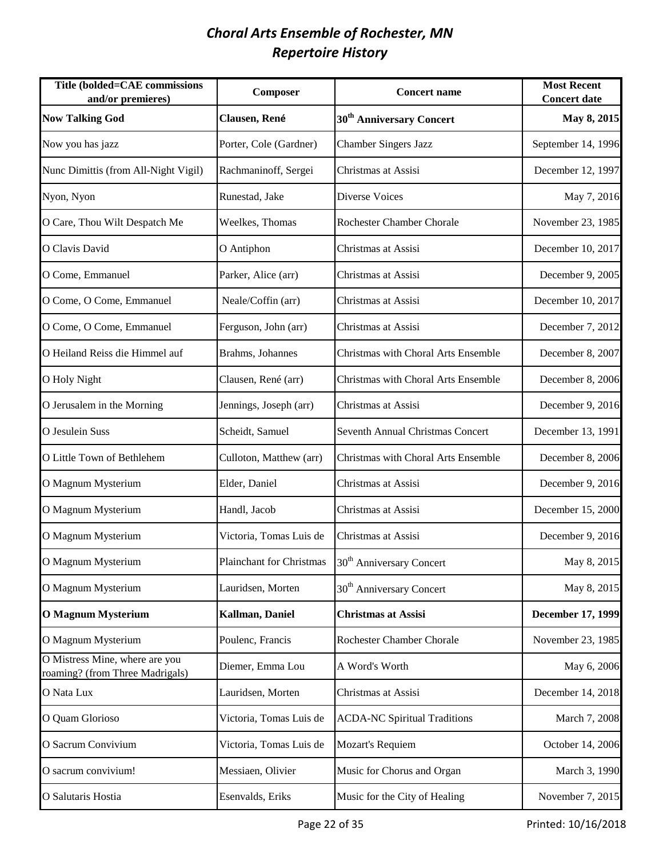| Title (bolded=CAE commissions<br>and/or premieres)                | Composer                 | <b>Concert name</b>                  | <b>Most Recent</b><br><b>Concert date</b> |
|-------------------------------------------------------------------|--------------------------|--------------------------------------|-------------------------------------------|
| <b>Now Talking God</b>                                            | Clausen, René            | 30 <sup>th</sup> Anniversary Concert | May 8, 2015                               |
| Now you has jazz                                                  | Porter, Cole (Gardner)   | <b>Chamber Singers Jazz</b>          | September 14, 1996                        |
| Nunc Dimittis (from All-Night Vigil)                              | Rachmaninoff, Sergei     | Christmas at Assisi                  | December 12, 1997                         |
| Nyon, Nyon                                                        | Runestad, Jake           | Diverse Voices                       | May 7, 2016                               |
| O Care, Thou Wilt Despatch Me                                     | Weelkes, Thomas          | Rochester Chamber Chorale            | November 23, 1985                         |
| O Clavis David                                                    | O Antiphon               | Christmas at Assisi                  | December 10, 2017                         |
| O Come, Emmanuel                                                  | Parker, Alice (arr)      | Christmas at Assisi                  | December 9, 2005                          |
| O Come, O Come, Emmanuel                                          | Neale/Coffin (arr)       | Christmas at Assisi                  | December 10, 2017                         |
| O Come, O Come, Emmanuel                                          | Ferguson, John (arr)     | Christmas at Assisi                  | December 7, 2012                          |
| O Heiland Reiss die Himmel auf                                    | Brahms, Johannes         | Christmas with Choral Arts Ensemble  | December 8, 2007                          |
| O Holy Night                                                      | Clausen, René (arr)      | Christmas with Choral Arts Ensemble  | December 8, 2006                          |
| O Jerusalem in the Morning                                        | Jennings, Joseph (arr)   | Christmas at Assisi                  | December 9, 2016                          |
| O Jesulein Suss                                                   | Scheidt, Samuel          | Seventh Annual Christmas Concert     | December 13, 1991                         |
| O Little Town of Bethlehem                                        | Culloton, Matthew (arr)  | Christmas with Choral Arts Ensemble  | December 8, 2006                          |
| O Magnum Mysterium                                                | Elder, Daniel            | Christmas at Assisi                  | December 9, 2016                          |
| O Magnum Mysterium                                                | Handl, Jacob             | Christmas at Assisi                  | December 15, 2000                         |
| O Magnum Mysterium                                                | Victoria, Tomas Luis de  | Christmas at Assisi                  | December 9, 2016                          |
| O Magnum Mysterium                                                | Plainchant for Christmas | 30 <sup>th</sup> Anniversary Concert | May 8, 2015                               |
| O Magnum Mysterium                                                | Lauridsen, Morten        | 30 <sup>th</sup> Anniversary Concert | May 8, 2015                               |
| <b>O Magnum Mysterium</b>                                         | Kallman, Daniel          | <b>Christmas at Assisi</b>           | December 17, 1999                         |
| O Magnum Mysterium                                                | Poulenc, Francis         | Rochester Chamber Chorale            | November 23, 1985                         |
| O Mistress Mine, where are you<br>roaming? (from Three Madrigals) | Diemer, Emma Lou         | A Word's Worth                       | May 6, 2006                               |
| O Nata Lux                                                        | Lauridsen, Morten        | Christmas at Assisi                  | December 14, 2018                         |
| O Quam Glorioso                                                   | Victoria, Tomas Luis de  | <b>ACDA-NC Spiritual Traditions</b>  | March 7, 2008                             |
| O Sacrum Convivium                                                | Victoria, Tomas Luis de  | Mozart's Requiem                     | October 14, 2006                          |
| O sacrum convivium!                                               | Messiaen, Olivier        | Music for Chorus and Organ           | March 3, 1990                             |
| O Salutaris Hostia                                                | Esenvalds, Eriks         | Music for the City of Healing        | November 7, 2015                          |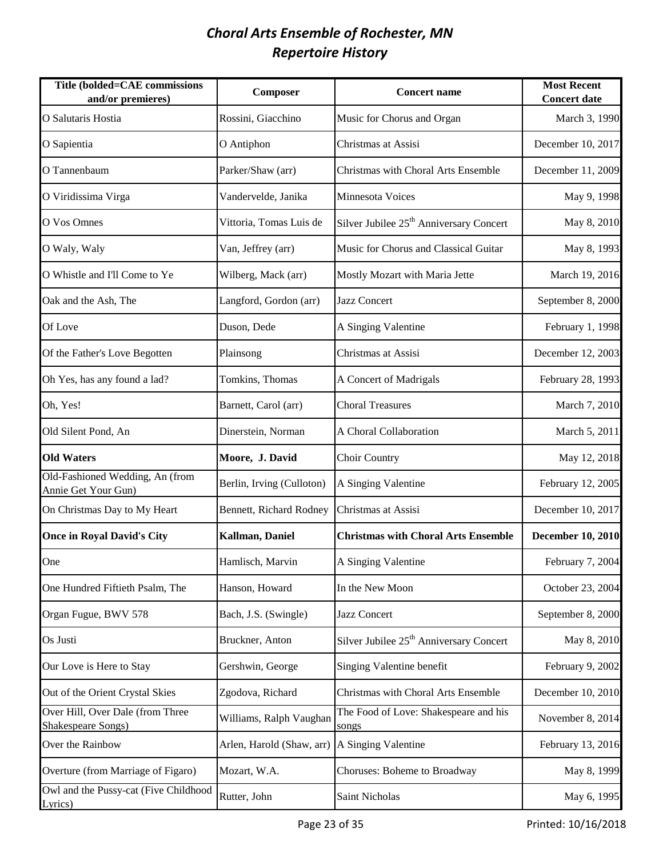| Title (bolded=CAE commissions<br>and/or premieres)     | Composer                  | <b>Concert name</b>                                 | <b>Most Recent</b><br><b>Concert date</b> |
|--------------------------------------------------------|---------------------------|-----------------------------------------------------|-------------------------------------------|
| O Salutaris Hostia                                     | Rossini, Giacchino        | Music for Chorus and Organ                          | March 3, 1990                             |
| O Sapientia                                            | O Antiphon                | Christmas at Assisi                                 | December 10, 2017                         |
| O Tannenbaum                                           | Parker/Shaw (arr)         | Christmas with Choral Arts Ensemble                 | December 11, 2009                         |
| O Viridissima Virga                                    | Vandervelde, Janika       | Minnesota Voices                                    | May 9, 1998                               |
| O Vos Omnes                                            | Vittoria, Tomas Luis de   | Silver Jubilee 25 <sup>th</sup> Anniversary Concert | May 8, 2010                               |
| O Waly, Waly                                           | Van, Jeffrey (arr)        | Music for Chorus and Classical Guitar               | May 8, 1993                               |
| O Whistle and I'll Come to Ye                          | Wilberg, Mack (arr)       | Mostly Mozart with Maria Jette                      | March 19, 2016                            |
| Oak and the Ash, The                                   | Langford, Gordon (arr)    | Jazz Concert                                        | September 8, 2000                         |
| Of Love                                                | Duson, Dede               | A Singing Valentine                                 | February 1, 1998                          |
| Of the Father's Love Begotten                          | Plainsong                 | Christmas at Assisi                                 | December 12, 2003                         |
| Oh Yes, has any found a lad?                           | Tomkins, Thomas           | A Concert of Madrigals                              | February 28, 1993                         |
| Oh, Yes!                                               | Barnett, Carol (arr)      | <b>Choral Treasures</b>                             | March 7, 2010                             |
| Old Silent Pond, An                                    | Dinerstein, Norman        | A Choral Collaboration                              | March 5, 2011                             |
| <b>Old Waters</b>                                      | Moore, J. David           | Choir Country                                       | May 12, 2018                              |
| Old-Fashioned Wedding, An (from<br>Annie Get Your Gun) | Berlin, Irving (Culloton) | A Singing Valentine                                 | February 12, 2005                         |
| On Christmas Day to My Heart                           | Bennett, Richard Rodney   | Christmas at Assisi                                 | December 10, 2017                         |
| <b>Once in Royal David's City</b>                      | Kallman, Daniel           | <b>Christmas with Choral Arts Ensemble</b>          | <b>December 10, 2010</b>                  |
| One                                                    | Hamlisch, Marvin          | A Singing Valentine                                 | February 7, 2004                          |
| One Hundred Fiftieth Psalm, The                        | Hanson, Howard            | In the New Moon                                     | October 23, 2004                          |
| Organ Fugue, BWV 578                                   | Bach, J.S. (Swingle)      | <b>Jazz Concert</b>                                 | September 8, 2000                         |
| Os Justi                                               | Bruckner, Anton           | Silver Jubilee 25 <sup>th</sup> Anniversary Concert | May 8, 2010                               |
| Our Love is Here to Stay                               | Gershwin, George          | Singing Valentine benefit                           | February 9, 2002                          |
| Out of the Orient Crystal Skies                        | Zgodova, Richard          | Christmas with Choral Arts Ensemble                 | December 10, 2010                         |
| Over Hill, Over Dale (from Three<br>Shakespeare Songs) | Williams, Ralph Vaughan   | The Food of Love: Shakespeare and his<br>songs      | November 8, 2014                          |
| Over the Rainbow                                       | Arlen, Harold (Shaw, arr) | A Singing Valentine                                 | February 13, 2016                         |
| Overture (from Marriage of Figaro)                     | Mozart, W.A.              | Choruses: Boheme to Broadway                        | May 8, 1999                               |
| Owl and the Pussy-cat (Five Childhood<br>Lyrics)       | Rutter, John              | Saint Nicholas                                      | May 6, 1995                               |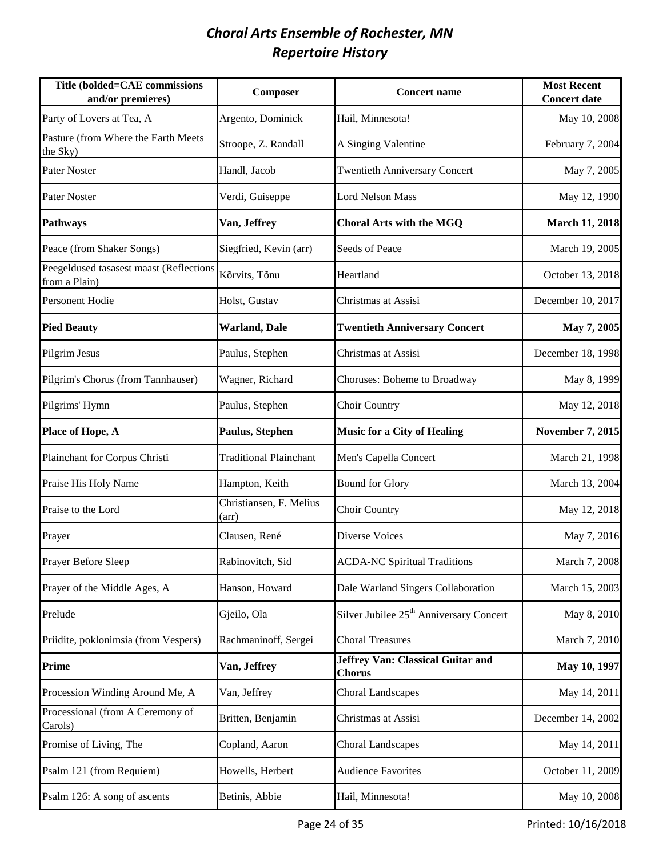| Title (bolded=CAE commissions<br>and/or premieres)       | Composer                         | <b>Concert name</b>                                 | <b>Most Recent</b><br><b>Concert date</b> |
|----------------------------------------------------------|----------------------------------|-----------------------------------------------------|-------------------------------------------|
| Party of Lovers at Tea, A                                | Argento, Dominick                | Hail, Minnesota!                                    | May 10, 2008                              |
| Pasture (from Where the Earth Meets<br>the Sky)          | Stroope, Z. Randall              | A Singing Valentine                                 | February 7, 2004                          |
| <b>Pater Noster</b>                                      | Handl, Jacob                     | <b>Twentieth Anniversary Concert</b>                | May 7, 2005                               |
| <b>Pater Noster</b>                                      | Verdi, Guiseppe                  | <b>Lord Nelson Mass</b>                             | May 12, 1990                              |
| <b>Pathways</b>                                          | Van, Jeffrey                     | <b>Choral Arts with the MGQ</b>                     | <b>March 11, 2018</b>                     |
| Peace (from Shaker Songs)                                | Siegfried, Kevin (arr)           | Seeds of Peace                                      | March 19, 2005                            |
| Peegeldused tasasest maast (Reflections<br>from a Plain) | Kõrvits, Tõnu                    | Heartland                                           | October 13, 2018                          |
| <b>Personent Hodie</b>                                   | Holst, Gustav                    | Christmas at Assisi                                 | December 10, 2017                         |
| <b>Pied Beauty</b>                                       | <b>Warland</b> , Dale            | <b>Twentieth Anniversary Concert</b>                | May 7, 2005                               |
| Pilgrim Jesus                                            | Paulus, Stephen                  | Christmas at Assisi                                 | December 18, 1998                         |
| Pilgrim's Chorus (from Tannhauser)                       | Wagner, Richard                  | Choruses: Boheme to Broadway                        | May 8, 1999                               |
| Pilgrims' Hymn                                           | Paulus, Stephen                  | Choir Country                                       | May 12, 2018                              |
| Place of Hope, A                                         | Paulus, Stephen                  | <b>Music for a City of Healing</b>                  | <b>November 7, 2015</b>                   |
| Plainchant for Corpus Christi                            | <b>Traditional Plainchant</b>    | Men's Capella Concert                               | March 21, 1998                            |
| Praise His Holy Name                                     | Hampton, Keith                   | <b>Bound for Glory</b>                              | March 13, 2004                            |
| Praise to the Lord                                       | Christiansen, F. Melius<br>(arr) | Choir Country                                       | May 12, 2018                              |
| Prayer                                                   | Clausen, René                    | Diverse Voices                                      | May 7, 2016                               |
| Prayer Before Sleep                                      | Rabinovitch, Sid                 | <b>ACDA-NC Spiritual Traditions</b>                 | March 7, 2008                             |
| Prayer of the Middle Ages, A                             | Hanson, Howard                   | Dale Warland Singers Collaboration                  | March 15, 2003                            |
| Prelude                                                  | Gjeilo, Ola                      | Silver Jubilee 25 <sup>th</sup> Anniversary Concert | May 8, 2010                               |
| Priidite, poklonimsia (from Vespers)                     | Rachmaninoff, Sergei             | <b>Choral Treasures</b>                             | March 7, 2010                             |
| <b>Prime</b>                                             | Van, Jeffrey                     | Jeffrey Van: Classical Guitar and<br><b>Chorus</b>  | May 10, 1997                              |
| Procession Winding Around Me, A                          | Van, Jeffrey                     | <b>Choral Landscapes</b>                            | May 14, 2011                              |
| Processional (from A Ceremony of<br>Carols)              | Britten, Benjamin                | Christmas at Assisi                                 | December 14, 2002                         |
| Promise of Living, The                                   | Copland, Aaron                   | <b>Choral Landscapes</b>                            | May 14, 2011                              |
| Psalm 121 (from Requiem)                                 | Howells, Herbert                 | <b>Audience Favorites</b>                           | October 11, 2009                          |
| Psalm 126: A song of ascents                             | Betinis, Abbie                   | Hail, Minnesota!                                    | May 10, 2008                              |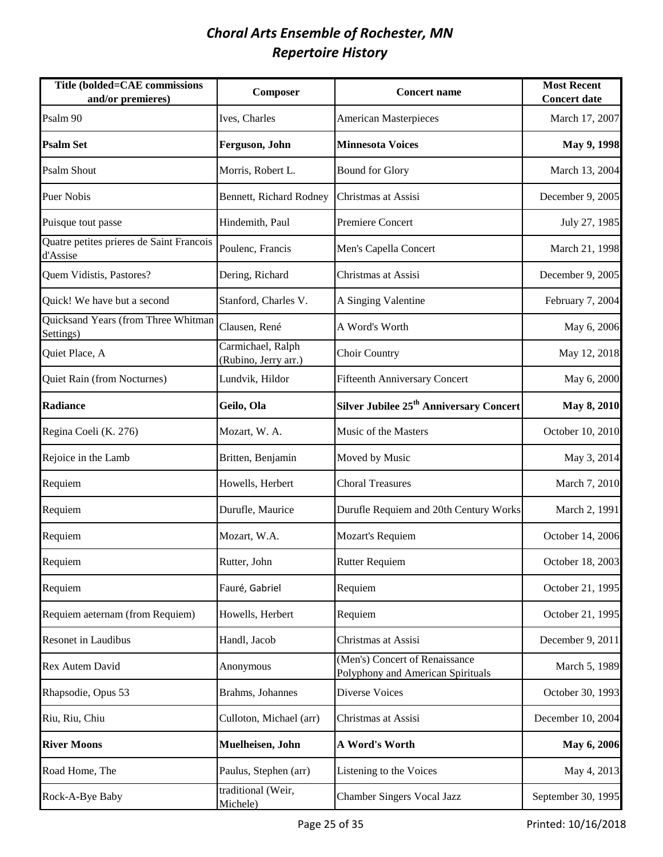| Title (bolded=CAE commissions<br>and/or premieres)   | Composer                                  | <b>Concert name</b>                                                 | <b>Most Recent</b><br><b>Concert date</b> |
|------------------------------------------------------|-------------------------------------------|---------------------------------------------------------------------|-------------------------------------------|
| Psalm 90                                             | Ives, Charles                             | <b>American Masterpieces</b>                                        | March 17, 2007                            |
| <b>Psalm Set</b>                                     | Ferguson, John                            | <b>Minnesota Voices</b>                                             | May 9, 1998                               |
| <b>Psalm Shout</b>                                   | Morris, Robert L.                         | <b>Bound for Glory</b>                                              | March 13, 2004                            |
| <b>Puer Nobis</b>                                    | Bennett, Richard Rodney                   | Christmas at Assisi                                                 | December 9, 2005                          |
| Puisque tout passe                                   | Hindemith, Paul                           | Premiere Concert                                                    | July 27, 1985                             |
| Quatre petites prieres de Saint Francois<br>d'Assise | Poulenc, Francis                          | Men's Capella Concert                                               | March 21, 1998                            |
| Quem Vidistis, Pastores?                             | Dering, Richard                           | Christmas at Assisi                                                 | December 9, 2005                          |
| Quick! We have but a second                          | Stanford, Charles V.                      | A Singing Valentine                                                 | February 7, 2004                          |
| Quicksand Years (from Three Whitman<br>Settings)     | Clausen, René                             | A Word's Worth                                                      | May 6, 2006                               |
| Quiet Place, A                                       | Carmichael, Ralph<br>(Rubino, Jerry arr.) | Choir Country                                                       | May 12, 2018                              |
| Quiet Rain (from Nocturnes)                          | Lundvik, Hildor                           | <b>Fifteenth Anniversary Concert</b>                                | May 6, 2000                               |
| <b>Radiance</b>                                      | Geilo, Ola                                | Silver Jubilee 25 <sup>th</sup> Anniversary Concert                 | <b>May 8, 2010</b>                        |
| Regina Coeli (K. 276)                                | Mozart, W. A.                             | Music of the Masters                                                | October 10, 2010                          |
| Rejoice in the Lamb                                  | Britten, Benjamin                         | Moved by Music                                                      | May 3, 2014                               |
| Requiem                                              | Howells, Herbert                          | <b>Choral Treasures</b>                                             | March 7, 2010                             |
| Requiem                                              | Durufle, Maurice                          | Durufle Requiem and 20th Century Works                              | March 2, 1991                             |
| Requiem                                              | Mozart, W.A.                              | Mozart's Requiem                                                    | October 14, 2006                          |
| Requiem                                              | Rutter, John                              | <b>Rutter Requiem</b>                                               | October 18, 2003                          |
| Requiem                                              | Fauré, Gabriel                            | Requiem                                                             | October 21, 1995                          |
| Requiem aeternam (from Requiem)                      | Howells, Herbert                          | Requiem                                                             | October 21, 1995                          |
| Resonet in Laudibus                                  | Handl, Jacob                              | Christmas at Assisi                                                 | December 9, 2011                          |
| Rex Autem David                                      | Anonymous                                 | (Men's) Concert of Renaissance<br>Polyphony and American Spirituals | March 5, 1989                             |
| Rhapsodie, Opus 53                                   | Brahms, Johannes                          | Diverse Voices                                                      | October 30, 1993                          |
| Riu, Riu, Chiu                                       | Culloton, Michael (arr)                   | Christmas at Assisi                                                 | December 10, 2004                         |
| <b>River Moons</b>                                   | Muelheisen, John                          | A Word's Worth                                                      | May 6, 2006                               |
| Road Home, The                                       | Paulus, Stephen (arr)                     | Listening to the Voices                                             | May 4, 2013                               |
| Rock-A-Bye Baby                                      | traditional (Weir,<br>Michele)            | <b>Chamber Singers Vocal Jazz</b>                                   | September 30, 1995                        |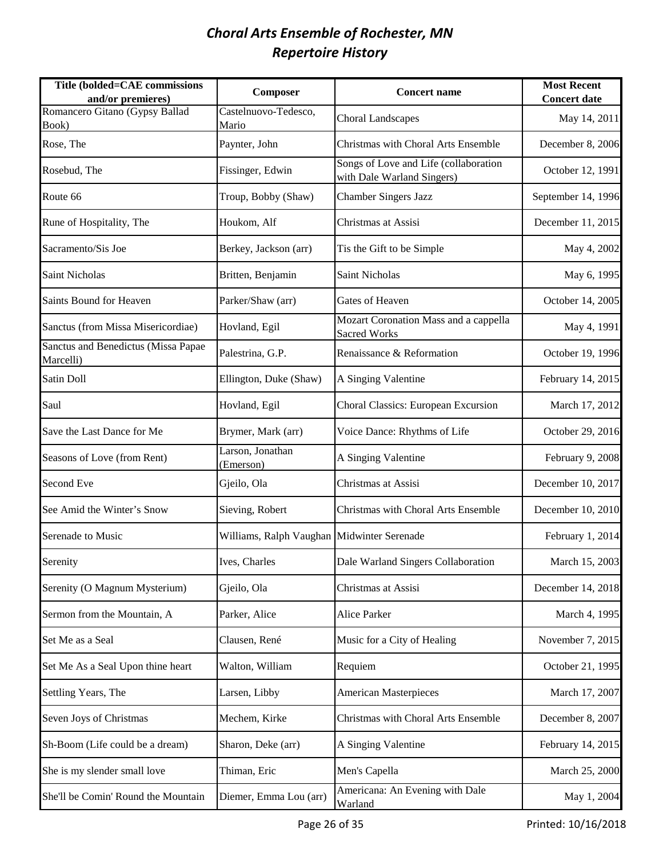| Title (bolded=CAE commissions<br>and/or premieres) | Composer                                   | <b>Concert name</b>                                                 | <b>Most Recent</b><br><b>Concert date</b> |
|----------------------------------------------------|--------------------------------------------|---------------------------------------------------------------------|-------------------------------------------|
| Romancero Gitano (Gypsy Ballad<br>Book)            | Castelnuovo-Tedesco,<br>Mario              | <b>Choral Landscapes</b>                                            | May 14, 2011                              |
| Rose, The                                          | Paynter, John                              | Christmas with Choral Arts Ensemble                                 | December 8, 2006                          |
| Rosebud, The                                       | Fissinger, Edwin                           | Songs of Love and Life (collaboration<br>with Dale Warland Singers) | October 12, 1991                          |
| Route 66                                           | Troup, Bobby (Shaw)                        | <b>Chamber Singers Jazz</b>                                         | September 14, 1996                        |
| Rune of Hospitality, The                           | Houkom, Alf                                | Christmas at Assisi                                                 | December 11, 2015                         |
| Sacramento/Sis Joe                                 | Berkey, Jackson (arr)                      | Tis the Gift to be Simple                                           | May 4, 2002                               |
| <b>Saint Nicholas</b>                              | Britten, Benjamin                          | Saint Nicholas                                                      | May 6, 1995                               |
| Saints Bound for Heaven                            | Parker/Shaw (arr)                          | <b>Gates of Heaven</b>                                              | October 14, 2005                          |
| Sanctus (from Missa Misericordiae)                 | Hovland, Egil                              | Mozart Coronation Mass and a cappella<br><b>Sacred Works</b>        | May 4, 1991                               |
| Sanctus and Benedictus (Missa Papae<br>Marcelli)   | Palestrina, G.P.                           | Renaissance & Reformation                                           | October 19, 1996                          |
| Satin Doll                                         | Ellington, Duke (Shaw)                     | A Singing Valentine                                                 | February 14, 2015                         |
| Saul                                               | Hovland, Egil                              | Choral Classics: European Excursion                                 | March 17, 2012                            |
| Save the Last Dance for Me                         | Brymer, Mark (arr)                         | Voice Dance: Rhythms of Life                                        | October 29, 2016                          |
| Seasons of Love (from Rent)                        | Larson, Jonathan<br>(Emerson)              | A Singing Valentine                                                 | February 9, 2008                          |
| Second Eve                                         | Gjeilo, Ola                                | Christmas at Assisi                                                 | December 10, 2017                         |
| See Amid the Winter's Snow                         | Sieving, Robert                            | Christmas with Choral Arts Ensemble                                 | December 10, 2010                         |
| Serenade to Music                                  | Williams, Ralph Vaughan Midwinter Serenade |                                                                     | February 1, 2014                          |
| Serenity                                           | Ives, Charles                              | Dale Warland Singers Collaboration                                  | March 15, 2003                            |
| Serenity (O Magnum Mysterium)                      | Gjeilo, Ola                                | Christmas at Assisi                                                 | December 14, 2018                         |
| Sermon from the Mountain, A                        | Parker, Alice                              | Alice Parker                                                        | March 4, 1995                             |
| Set Me as a Seal                                   | Clausen, René                              | Music for a City of Healing                                         | November 7, 2015                          |
| Set Me As a Seal Upon thine heart                  | Walton, William                            | Requiem                                                             | October 21, 1995                          |
| Settling Years, The                                | Larsen, Libby                              | <b>American Masterpieces</b>                                        | March 17, 2007                            |
| Seven Joys of Christmas                            | Mechem, Kirke                              | Christmas with Choral Arts Ensemble                                 | December 8, 2007                          |
| Sh-Boom (Life could be a dream)                    | Sharon, Deke (arr)                         | A Singing Valentine                                                 | February 14, 2015                         |
| She is my slender small love                       | Thiman, Eric                               | Men's Capella                                                       | March 25, 2000                            |
| She'll be Comin' Round the Mountain                | Diemer, Emma Lou (arr)                     | Americana: An Evening with Dale<br>Warland                          | May 1, 2004                               |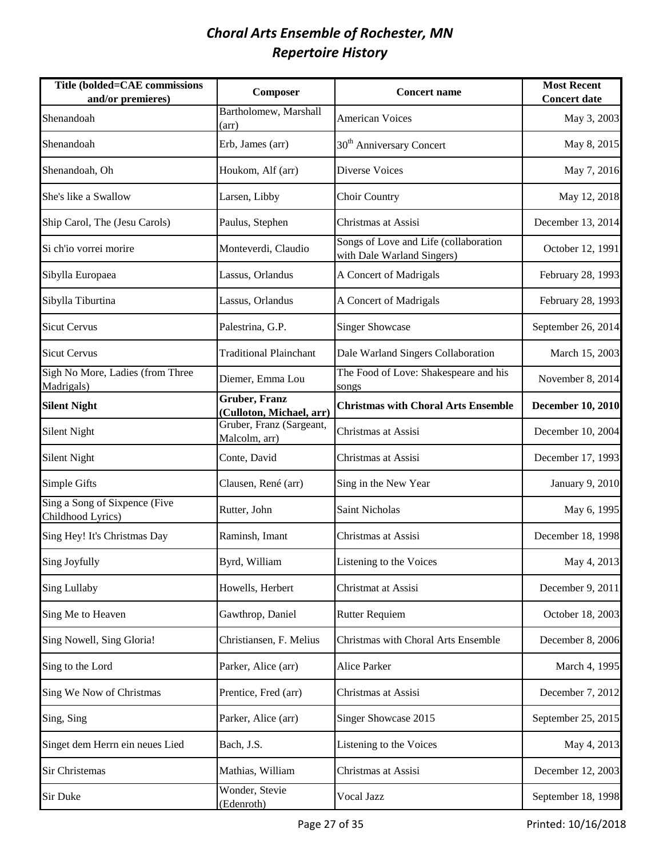| <b>Title (bolded=CAE commissions</b><br>and/or premieres) | Composer                                          | <b>Concert name</b>                                                 | <b>Most Recent</b><br><b>Concert date</b> |
|-----------------------------------------------------------|---------------------------------------------------|---------------------------------------------------------------------|-------------------------------------------|
| Shenandoah                                                | Bartholomew, Marshall<br>$(\text{arr})$           | <b>American Voices</b>                                              | May 3, 2003                               |
| Shenandoah                                                | Erb, James (arr)                                  | 30 <sup>th</sup> Anniversary Concert                                | May 8, 2015                               |
| Shenandoah, Oh                                            | Houkom, Alf (arr)                                 | Diverse Voices                                                      | May 7, 2016                               |
| She's like a Swallow                                      | Larsen, Libby                                     | Choir Country                                                       | May 12, 2018                              |
| Ship Carol, The (Jesu Carols)                             | Paulus, Stephen                                   | Christmas at Assisi                                                 | December 13, 2014                         |
| Si ch'io vorrei morire                                    | Monteverdi, Claudio                               | Songs of Love and Life (collaboration<br>with Dale Warland Singers) | October 12, 1991                          |
| Sibylla Europaea                                          | Lassus, Orlandus                                  | A Concert of Madrigals                                              | February 28, 1993                         |
| Sibylla Tiburtina                                         | Lassus, Orlandus                                  | A Concert of Madrigals                                              | February 28, 1993                         |
| <b>Sicut Cervus</b>                                       | Palestrina, G.P.                                  | <b>Singer Showcase</b>                                              | September 26, 2014                        |
| <b>Sicut Cervus</b>                                       | <b>Traditional Plainchant</b>                     | Dale Warland Singers Collaboration                                  | March 15, 2003                            |
| Sigh No More, Ladies (from Three<br>Madrigals)            | Diemer, Emma Lou                                  | The Food of Love: Shakespeare and his<br>songs                      | November 8, 2014                          |
| <b>Silent Night</b>                                       | <b>Gruber</b> , Franz<br>(Culloton, Michael, arr) | <b>Christmas with Choral Arts Ensemble</b>                          | <b>December 10, 2010</b>                  |
| <b>Silent Night</b>                                       | Gruber, Franz (Sargeant,<br>Malcolm, arr)         | Christmas at Assisi                                                 | December 10, 2004                         |
| <b>Silent Night</b>                                       | Conte, David                                      | Christmas at Assisi                                                 | December 17, 1993                         |
| Simple Gifts                                              | Clausen, René (arr)                               | Sing in the New Year                                                | January 9, 2010                           |
| Sing a Song of Sixpence (Five<br>Childhood Lyrics)        | Rutter, John                                      | Saint Nicholas                                                      | May 6, 1995                               |
| Sing Hey! It's Christmas Day                              | Raminsh, Imant                                    | Christmas at Assisi                                                 | December 18, 1998                         |
| Sing Joyfully                                             | Byrd, William                                     | Listening to the Voices                                             | May 4, 2013                               |
| <b>Sing Lullaby</b>                                       | Howells, Herbert                                  | Christmat at Assisi                                                 | December 9, 2011                          |
| Sing Me to Heaven                                         | Gawthrop, Daniel                                  | <b>Rutter Requiem</b>                                               | October 18, 2003                          |
| Sing Nowell, Sing Gloria!                                 | Christiansen, F. Melius                           | Christmas with Choral Arts Ensemble                                 | December 8, 2006                          |
| Sing to the Lord                                          | Parker, Alice (arr)                               | <b>Alice Parker</b>                                                 | March 4, 1995                             |
| Sing We Now of Christmas                                  | Prentice, Fred (arr)                              | Christmas at Assisi                                                 | December 7, 2012                          |
| Sing, Sing                                                | Parker, Alice (arr)                               | Singer Showcase 2015                                                | September 25, 2015                        |
| Singet dem Herrn ein neues Lied                           | Bach, J.S.                                        | Listening to the Voices                                             | May 4, 2013                               |
| Sir Christemas                                            | Mathias, William                                  | Christmas at Assisi                                                 | December 12, 2003                         |
| Sir Duke                                                  | Wonder, Stevie<br>(Edenroth)                      | Vocal Jazz                                                          | September 18, 1998                        |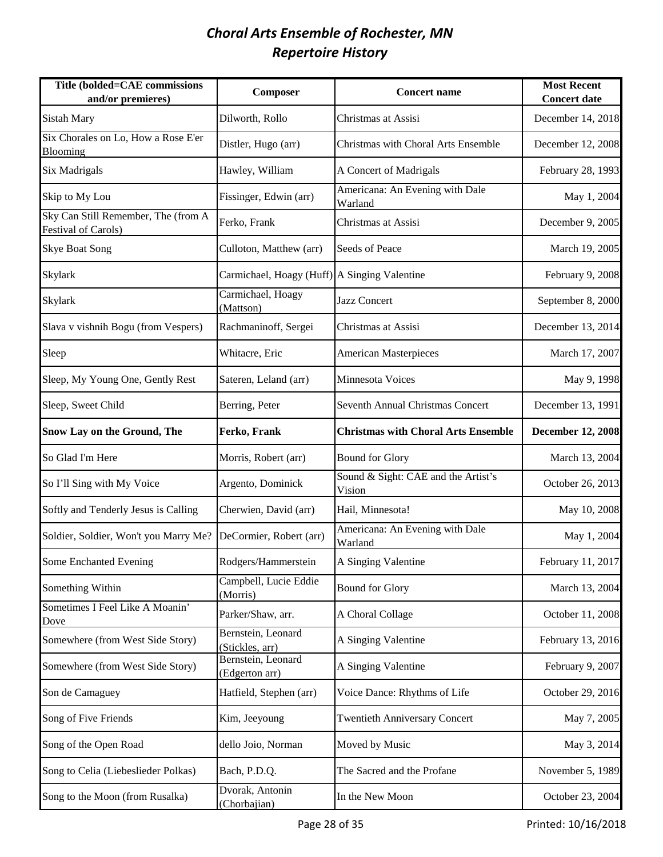| Title (bolded=CAE commissions<br>and/or premieres)                | Composer                                     | <b>Concert name</b>                           | <b>Most Recent</b><br><b>Concert date</b> |
|-------------------------------------------------------------------|----------------------------------------------|-----------------------------------------------|-------------------------------------------|
| <b>Sistah Mary</b>                                                | Dilworth, Rollo                              | Christmas at Assisi                           | December 14, 2018                         |
| Six Chorales on Lo, How a Rose E'er<br>Blooming                   | Distler, Hugo (arr)                          | Christmas with Choral Arts Ensemble           | December 12, 2008                         |
| <b>Six Madrigals</b>                                              | Hawley, William                              | A Concert of Madrigals                        | February 28, 1993                         |
| Skip to My Lou                                                    | Fissinger, Edwin (arr)                       | Americana: An Evening with Dale<br>Warland    | May 1, 2004                               |
| Sky Can Still Remember, The (from A<br><b>Festival of Carols)</b> | Ferko, Frank                                 | Christmas at Assisi                           | December 9, 2005                          |
| <b>Skye Boat Song</b>                                             | Culloton, Matthew (arr)                      | Seeds of Peace                                | March 19, 2005                            |
| Skylark                                                           | Carmichael, Hoagy (Huff) A Singing Valentine |                                               | February 9, 2008                          |
| Skylark                                                           | Carmichael, Hoagy<br>(Mattson)               | <b>Jazz Concert</b>                           | September 8, 2000                         |
| Slava v vishnih Bogu (from Vespers)                               | Rachmaninoff, Sergei                         | Christmas at Assisi                           | December 13, 2014                         |
| Sleep                                                             | Whitacre, Eric                               | <b>American Masterpieces</b>                  | March 17, 2007                            |
| Sleep, My Young One, Gently Rest                                  | Sateren, Leland (arr)                        | Minnesota Voices                              | May 9, 1998                               |
| Sleep, Sweet Child                                                | Berring, Peter                               | <b>Seventh Annual Christmas Concert</b>       | December 13, 1991                         |
| <b>Snow Lay on the Ground, The</b>                                | Ferko, Frank                                 | <b>Christmas with Choral Arts Ensemble</b>    | <b>December 12, 2008</b>                  |
| So Glad I'm Here                                                  | Morris, Robert (arr)                         | <b>Bound for Glory</b>                        | March 13, 2004                            |
| So I'll Sing with My Voice                                        | Argento, Dominick                            | Sound & Sight: CAE and the Artist's<br>Vision | October 26, 2013                          |
| Softly and Tenderly Jesus is Calling                              | Cherwien, David (arr)                        | Hail, Minnesota!                              | May 10, 2008                              |
| Soldier, Soldier, Won't you Marry Me?                             | DeCormier, Robert (arr)                      | Americana: An Evening with Dale<br>Warland    | May 1, 2004                               |
| Some Enchanted Evening                                            | Rodgers/Hammerstein                          | A Singing Valentine                           | February 11, 2017                         |
| Something Within                                                  | Campbell, Lucie Eddie<br>(Morris)            | <b>Bound for Glory</b>                        | March 13, 2004                            |
| Sometimes I Feel Like A Moanin'<br>Dove                           | Parker/Shaw, arr.                            | A Choral Collage                              | October 11, 2008                          |
| Somewhere (from West Side Story)                                  | Bernstein, Leonard<br>(Stickles, arr)        | A Singing Valentine                           | February 13, 2016                         |
| Somewhere (from West Side Story)                                  | Bernstein, Leonard<br>(Edgerton arr)         | A Singing Valentine                           | February 9, 2007                          |
| Son de Camaguey                                                   | Hatfield, Stephen (arr)                      | Voice Dance: Rhythms of Life                  | October 29, 2016                          |
| Song of Five Friends                                              | Kim, Jeeyoung                                | <b>Twentieth Anniversary Concert</b>          | May 7, 2005                               |
| Song of the Open Road                                             | dello Joio, Norman                           | Moved by Music                                | May 3, 2014                               |
| Song to Celia (Liebeslieder Polkas)                               | Bach, P.D.Q.                                 | The Sacred and the Profane                    | November 5, 1989                          |
| Song to the Moon (from Rusalka)                                   | Dvorak, Antonin<br>(Chorbajian)              | In the New Moon                               | October 23, 2004                          |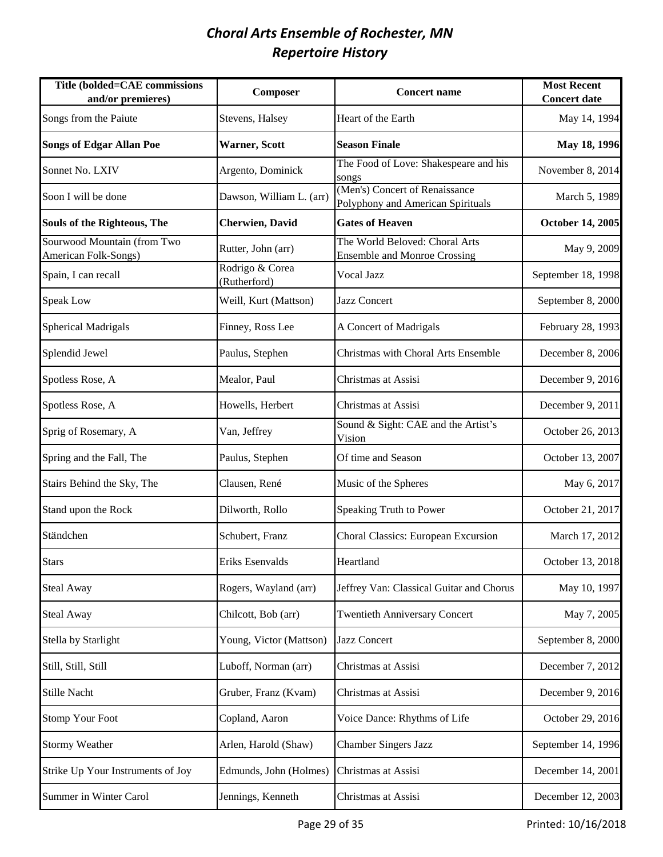| Title (bolded=CAE commissions<br>and/or premieres)  | Composer                        | <b>Concert name</b>                                                   | <b>Most Recent</b><br><b>Concert date</b> |
|-----------------------------------------------------|---------------------------------|-----------------------------------------------------------------------|-------------------------------------------|
| Songs from the Paiute                               | Stevens, Halsey                 | Heart of the Earth                                                    | May 14, 1994                              |
| <b>Songs of Edgar Allan Poe</b>                     | <b>Warner, Scott</b>            | <b>Season Finale</b>                                                  | May 18, 1996                              |
| Sonnet No. LXIV                                     | Argento, Dominick               | The Food of Love: Shakespeare and his<br>songs                        | November 8, 2014                          |
| Soon I will be done                                 | Dawson, William L. (arr)        | (Men's) Concert of Renaissance<br>Polyphony and American Spirituals   | March 5, 1989                             |
| Souls of the Righteous, The                         | <b>Cherwien</b> , David         | <b>Gates of Heaven</b>                                                | <b>October 14, 2005</b>                   |
| Sourwood Mountain (from Two<br>American Folk-Songs) | Rutter, John (arr)              | The World Beloved: Choral Arts<br><b>Ensemble and Monroe Crossing</b> | May 9, 2009                               |
| Spain, I can recall                                 | Rodrigo & Corea<br>(Rutherford) | Vocal Jazz                                                            | September 18, 1998                        |
| <b>Speak Low</b>                                    | Weill, Kurt (Mattson)           | <b>Jazz Concert</b>                                                   | September 8, 2000                         |
| <b>Spherical Madrigals</b>                          | Finney, Ross Lee                | A Concert of Madrigals                                                | February 28, 1993                         |
| Splendid Jewel                                      | Paulus, Stephen                 | Christmas with Choral Arts Ensemble                                   | December 8, 2006                          |
| Spotless Rose, A                                    | Mealor, Paul                    | Christmas at Assisi                                                   | December 9, 2016                          |
| Spotless Rose, A                                    | Howells, Herbert                | Christmas at Assisi                                                   | December 9, 2011                          |
| Sprig of Rosemary, A                                | Van, Jeffrey                    | Sound & Sight: CAE and the Artist's<br>Vision                         | October 26, 2013                          |
| Spring and the Fall, The                            | Paulus, Stephen                 | Of time and Season                                                    | October 13, 2007                          |
| Stairs Behind the Sky, The                          | Clausen, René                   | Music of the Spheres                                                  | May 6, 2017                               |
| Stand upon the Rock                                 | Dilworth, Rollo                 | Speaking Truth to Power                                               | October 21, 2017                          |
| Ständchen                                           | Schubert, Franz                 | Choral Classics: European Excursion                                   | March 17, 2012                            |
| <b>Stars</b>                                        | Eriks Esenvalds                 | Heartland                                                             | October 13, 2018                          |
| <b>Steal Away</b>                                   | Rogers, Wayland (arr)           | Jeffrey Van: Classical Guitar and Chorus                              | May 10, 1997                              |
| <b>Steal Away</b>                                   | Chilcott, Bob (arr)             | <b>Twentieth Anniversary Concert</b>                                  | May 7, 2005                               |
| Stella by Starlight                                 | Young, Victor (Mattson)         | Jazz Concert                                                          | September 8, 2000                         |
| Still, Still, Still                                 | Luboff, Norman (arr)            | Christmas at Assisi                                                   | December 7, 2012                          |
| Stille Nacht                                        | Gruber, Franz (Kvam)            | Christmas at Assisi                                                   | December 9, 2016                          |
| <b>Stomp Your Foot</b>                              | Copland, Aaron                  | Voice Dance: Rhythms of Life                                          | October 29, 2016                          |
| <b>Stormy Weather</b>                               | Arlen, Harold (Shaw)            | <b>Chamber Singers Jazz</b>                                           | September 14, 1996                        |
| Strike Up Your Instruments of Joy                   | Edmunds, John (Holmes)          | Christmas at Assisi                                                   | December 14, 2001                         |
| Summer in Winter Carol                              | Jennings, Kenneth               | Christmas at Assisi                                                   | December 12, 2003                         |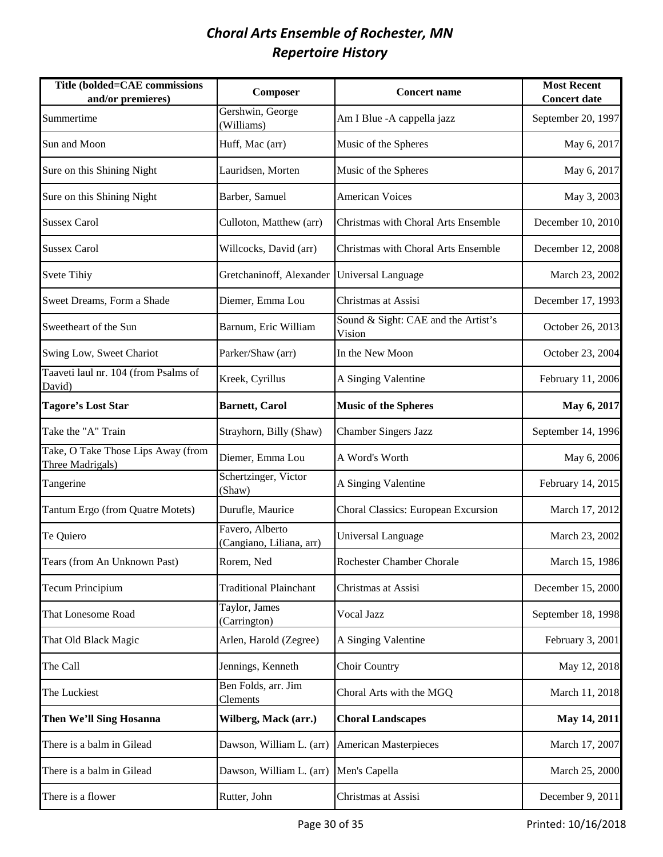| Title (bolded=CAE commissions<br>and/or premieres)     | Composer                                    | <b>Concert name</b>                           | <b>Most Recent</b><br><b>Concert date</b> |
|--------------------------------------------------------|---------------------------------------------|-----------------------------------------------|-------------------------------------------|
| Summertime                                             | Gershwin, George<br>(Williams)              | Am I Blue - A cappella jazz                   | September 20, 1997                        |
| Sun and Moon                                           | Huff, Mac (arr)                             | Music of the Spheres                          | May 6, 2017                               |
| Sure on this Shining Night                             | Lauridsen, Morten                           | Music of the Spheres                          | May 6, 2017                               |
| Sure on this Shining Night                             | Barber, Samuel                              | <b>American Voices</b>                        | May 3, 2003                               |
| <b>Sussex Carol</b>                                    | Culloton, Matthew (arr)                     | Christmas with Choral Arts Ensemble           | December 10, 2010                         |
| <b>Sussex Carol</b>                                    | Willcocks, David (arr)                      | Christmas with Choral Arts Ensemble           | December 12, 2008                         |
| <b>Svete Tihiy</b>                                     | Gretchaninoff, Alexander                    | Universal Language                            | March 23, 2002                            |
| Sweet Dreams, Form a Shade                             | Diemer, Emma Lou                            | Christmas at Assisi                           | December 17, 1993                         |
| Sweetheart of the Sun                                  | Barnum, Eric William                        | Sound & Sight: CAE and the Artist's<br>Vision | October 26, 2013                          |
| Swing Low, Sweet Chariot                               | Parker/Shaw (arr)                           | In the New Moon                               | October 23, 2004                          |
| Taaveti laul nr. 104 (from Psalms of<br>David)         | Kreek, Cyrillus                             | A Singing Valentine                           | February 11, 2006                         |
| <b>Tagore's Lost Star</b>                              | <b>Barnett, Carol</b>                       | <b>Music of the Spheres</b>                   | May 6, 2017                               |
| Take the "A" Train                                     | Strayhorn, Billy (Shaw)                     | <b>Chamber Singers Jazz</b>                   | September 14, 1996                        |
| Take, O Take Those Lips Away (from<br>Three Madrigals) | Diemer, Emma Lou                            | A Word's Worth                                | May 6, 2006                               |
| Tangerine                                              | Schertzinger, Victor<br>(Shaw)              | A Singing Valentine                           | February 14, 2015                         |
| Tantum Ergo (from Quatre Motets)                       | Durufle, Maurice                            | Choral Classics: European Excursion           | March 17, 2012                            |
| Te Quiero                                              | Favero, Alberto<br>(Cangiano, Liliana, arr) | <b>Universal Language</b>                     | March 23, 2002                            |
| Tears (from An Unknown Past)                           | Rorem, Ned                                  | Rochester Chamber Chorale                     | March 15, 1986                            |
| <b>Tecum Principium</b>                                | <b>Traditional Plainchant</b>               | Christmas at Assisi                           | December 15, 2000                         |
| That Lonesome Road                                     | Taylor, James<br>(Carrington)               | Vocal Jazz                                    | September 18, 1998                        |
| That Old Black Magic                                   | Arlen, Harold (Zegree)                      | A Singing Valentine                           | February 3, 2001                          |
| The Call                                               | Jennings, Kenneth                           | Choir Country                                 | May 12, 2018                              |
| The Luckiest                                           | Ben Folds, arr. Jim<br>Clements             | Choral Arts with the MGQ                      | March 11, 2018                            |
| Then We'll Sing Hosanna                                | Wilberg, Mack (arr.)                        | <b>Choral Landscapes</b>                      | May 14, 2011                              |
| There is a balm in Gilead                              | Dawson, William L. (arr)                    | <b>American Masterpieces</b>                  | March 17, 2007                            |
| There is a balm in Gilead                              | Dawson, William L. (arr)                    | Men's Capella                                 | March 25, 2000                            |
| There is a flower                                      | Rutter, John                                | Christmas at Assisi                           | December 9, 2011                          |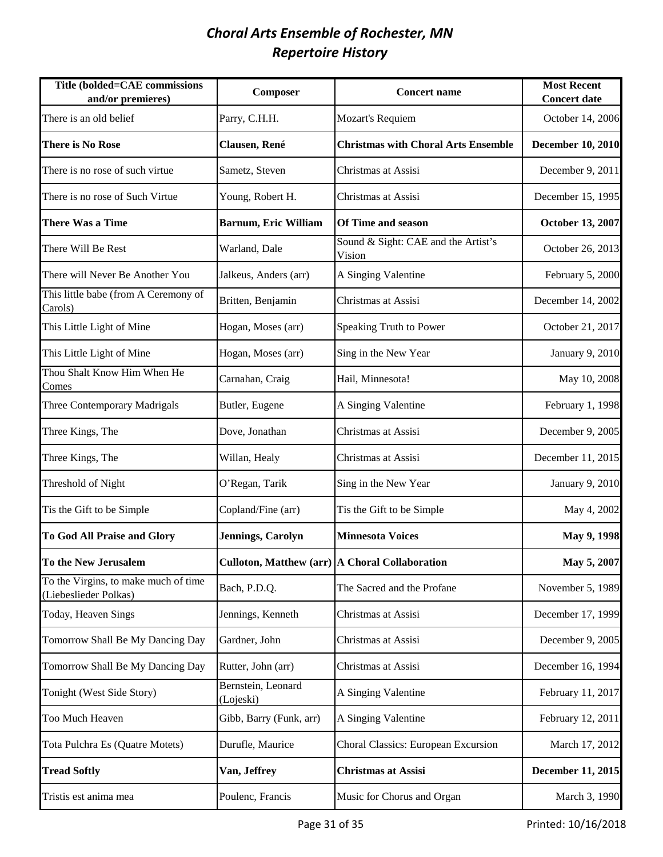| Title (bolded=CAE commissions<br>and/or premieres)            | Composer                                       | <b>Concert name</b>                           | <b>Most Recent</b><br><b>Concert date</b> |
|---------------------------------------------------------------|------------------------------------------------|-----------------------------------------------|-------------------------------------------|
| There is an old belief                                        | Parry, C.H.H.                                  | Mozart's Requiem                              | October 14, 2006                          |
| <b>There is No Rose</b>                                       | Clausen, René                                  | <b>Christmas with Choral Arts Ensemble</b>    | <b>December 10, 2010</b>                  |
| There is no rose of such virtue                               | Sametz, Steven                                 | Christmas at Assisi                           | December 9, 2011                          |
| There is no rose of Such Virtue                               | Young, Robert H.                               | Christmas at Assisi                           | December 15, 1995                         |
| <b>There Was a Time</b>                                       | <b>Barnum, Eric William</b>                    | <b>Of Time and season</b>                     | October 13, 2007                          |
| There Will Be Rest                                            | Warland, Dale                                  | Sound & Sight: CAE and the Artist's<br>Vision | October 26, 2013                          |
| There will Never Be Another You                               | Jalkeus, Anders (arr)                          | A Singing Valentine                           | February 5, 2000                          |
| This little babe (from A Ceremony of<br>Carols)               | Britten, Benjamin                              | Christmas at Assisi                           | December 14, 2002                         |
| This Little Light of Mine                                     | Hogan, Moses (arr)                             | Speaking Truth to Power                       | October 21, 2017                          |
| This Little Light of Mine                                     | Hogan, Moses (arr)                             | Sing in the New Year                          | January 9, 2010                           |
| Thou Shalt Know Him When He<br>Comes                          | Carnahan, Craig                                | Hail, Minnesota!                              | May 10, 2008                              |
| Three Contemporary Madrigals                                  | Butler, Eugene                                 | A Singing Valentine                           | February 1, 1998                          |
| Three Kings, The                                              | Dove, Jonathan                                 | Christmas at Assisi                           | December 9, 2005                          |
| Three Kings, The                                              | Willan, Healy                                  | Christmas at Assisi                           | December 11, 2015                         |
| Threshold of Night                                            | O'Regan, Tarik                                 | Sing in the New Year                          | January 9, 2010                           |
| Tis the Gift to be Simple                                     | Copland/Fine (arr)                             | Tis the Gift to be Simple                     | May 4, 2002                               |
| To God All Praise and Glory                                   | <b>Jennings, Carolyn</b>                       | <b>Minnesota Voices</b>                       | May 9, 1998                               |
| To the New Jerusalem                                          | Culloton, Matthew (arr) A Choral Collaboration |                                               | May 5, 2007                               |
| To the Virgins, to make much of time<br>(Liebeslieder Polkas) | Bach, P.D.Q.                                   | The Sacred and the Profane                    | November 5, 1989                          |
| Today, Heaven Sings                                           | Jennings, Kenneth                              | Christmas at Assisi                           | December 17, 1999                         |
| Tomorrow Shall Be My Dancing Day                              | Gardner, John                                  | Christmas at Assisi                           | December 9, 2005                          |
| Tomorrow Shall Be My Dancing Day                              | Rutter, John (arr)                             | Christmas at Assisi                           | December 16, 1994                         |
| Tonight (West Side Story)                                     | Bernstein, Leonard<br>(Lojeski)                | A Singing Valentine                           | February 11, 2017                         |
| Too Much Heaven                                               | Gibb, Barry (Funk, arr)                        | A Singing Valentine                           | February 12, 2011                         |
| Tota Pulchra Es (Quatre Motets)                               | Durufle, Maurice                               | Choral Classics: European Excursion           | March 17, 2012                            |
| <b>Tread Softly</b>                                           | Van, Jeffrey                                   | <b>Christmas at Assisi</b>                    | December 11, 2015                         |
| Tristis est anima mea                                         | Poulenc, Francis                               | Music for Chorus and Organ                    | March 3, 1990                             |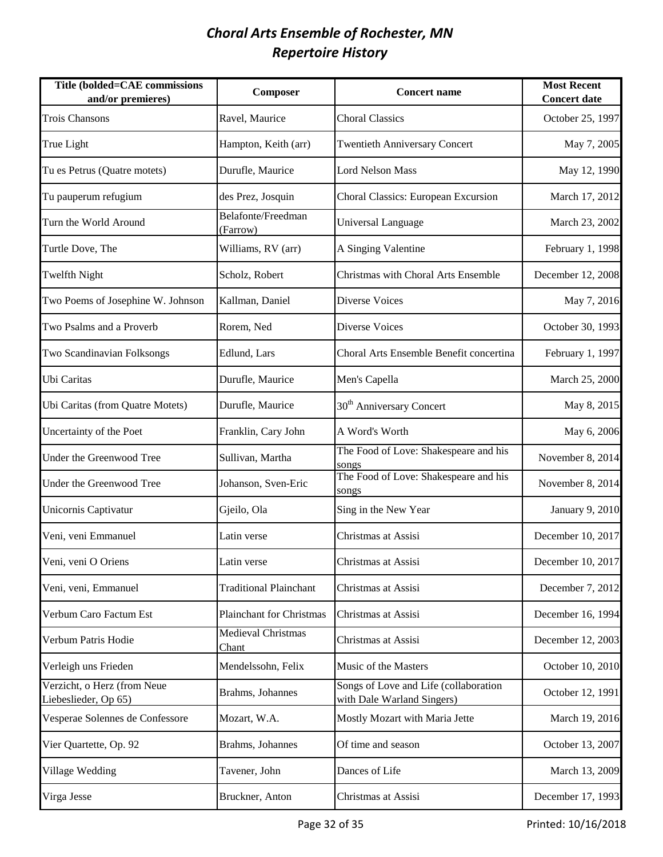| Title (bolded=CAE commissions<br>and/or premieres)  | Composer                        | <b>Concert name</b>                                                 | <b>Most Recent</b><br><b>Concert date</b> |
|-----------------------------------------------------|---------------------------------|---------------------------------------------------------------------|-------------------------------------------|
| <b>Trois Chansons</b>                               | Ravel, Maurice                  | <b>Choral Classics</b>                                              | October 25, 1997                          |
| True Light                                          | Hampton, Keith (arr)            | <b>Twentieth Anniversary Concert</b>                                | May 7, 2005                               |
| Tu es Petrus (Quatre motets)                        | Durufle, Maurice                | <b>Lord Nelson Mass</b>                                             | May 12, 1990                              |
| Tu pauperum refugium                                | des Prez, Josquin               | Choral Classics: European Excursion                                 | March 17, 2012                            |
| Turn the World Around                               | Belafonte/Freedman<br>(Farrow)  | Universal Language                                                  | March 23, 2002                            |
| Turtle Dove, The                                    | Williams, RV (arr)              | A Singing Valentine                                                 | February 1, 1998                          |
| <b>Twelfth Night</b>                                | Scholz, Robert                  | Christmas with Choral Arts Ensemble                                 | December 12, 2008                         |
| Two Poems of Josephine W. Johnson                   | Kallman, Daniel                 | <b>Diverse Voices</b>                                               | May 7, 2016                               |
| Two Psalms and a Proverb                            | Rorem, Ned                      | <b>Diverse Voices</b>                                               | October 30, 1993                          |
| Two Scandinavian Folksongs                          | Edlund, Lars                    | Choral Arts Ensemble Benefit concertina                             | February 1, 1997                          |
| Ubi Caritas                                         | Durufle, Maurice                | Men's Capella                                                       | March 25, 2000                            |
| Ubi Caritas (from Quatre Motets)                    | Durufle, Maurice                | 30 <sup>th</sup> Anniversary Concert                                | May 8, 2015                               |
| Uncertainty of the Poet                             | Franklin, Cary John             | A Word's Worth                                                      | May 6, 2006                               |
| Under the Greenwood Tree                            | Sullivan, Martha                | The Food of Love: Shakespeare and his<br>songs                      | November 8, 2014                          |
| Under the Greenwood Tree                            | Johanson, Sven-Eric             | The Food of Love: Shakespeare and his<br>songs                      | November 8, 2014                          |
| Unicornis Captivatur                                | Gjeilo, Ola                     | Sing in the New Year                                                | January 9, 2010                           |
| Veni, veni Emmanuel                                 | Latin verse                     | Christmas at Assisi                                                 | December 10, 2017                         |
| Veni, veni O Oriens                                 | Latin verse                     | Christmas at Assisi                                                 | December 10, 2017                         |
| Veni, veni, Emmanuel                                | <b>Traditional Plainchant</b>   | Christmas at Assisi                                                 | December 7, 2012                          |
| Verbum Caro Factum Est                              | <b>Plainchant for Christmas</b> | Christmas at Assisi                                                 | December 16, 1994                         |
| Verbum Patris Hodie                                 | Medieval Christmas<br>Chant     | Christmas at Assisi                                                 | December 12, 2003                         |
| Verleigh uns Frieden                                | Mendelssohn, Felix              | Music of the Masters                                                | October 10, 2010                          |
| Verzicht, o Herz (from Neue<br>Liebeslieder, Op 65) | Brahms, Johannes                | Songs of Love and Life (collaboration<br>with Dale Warland Singers) | October 12, 1991                          |
| Vesperae Solennes de Confessore                     | Mozart, W.A.                    | Mostly Mozart with Maria Jette                                      | March 19, 2016                            |
| Vier Quartette, Op. 92                              | Brahms, Johannes                | Of time and season                                                  | October 13, 2007                          |
| Village Wedding                                     | Tavener, John                   | Dances of Life                                                      | March 13, 2009                            |
| Virga Jesse                                         | Bruckner, Anton                 | Christmas at Assisi                                                 | December 17, 1993                         |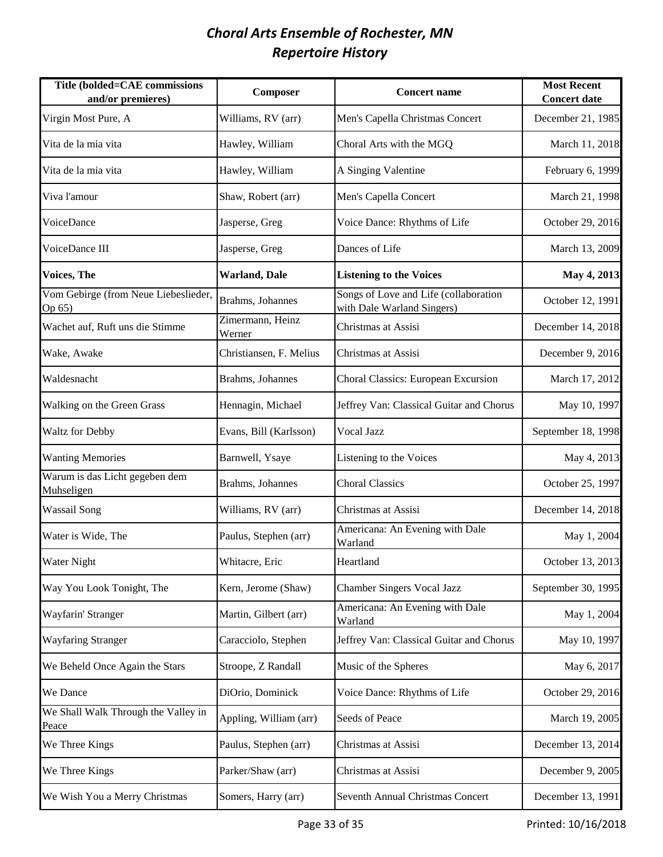| <b>Title (bolded=CAE commissions</b><br>and/or premieres) | Composer                   | <b>Concert name</b>                                                 | <b>Most Recent</b><br><b>Concert date</b> |
|-----------------------------------------------------------|----------------------------|---------------------------------------------------------------------|-------------------------------------------|
| Virgin Most Pure, A                                       | Williams, RV (arr)         | Men's Capella Christmas Concert                                     | December 21, 1985                         |
| Vita de la mia vita                                       | Hawley, William            | Choral Arts with the MGQ                                            | March 11, 2018                            |
| Vita de la mia vita                                       | Hawley, William            | A Singing Valentine                                                 | February 6, 1999                          |
| Viva l'amour                                              | Shaw, Robert (arr)         | Men's Capella Concert                                               | March 21, 1998                            |
| VoiceDance                                                | Jasperse, Greg             | Voice Dance: Rhythms of Life                                        | October 29, 2016                          |
| VoiceDance III                                            | Jasperse, Greg             | Dances of Life                                                      | March 13, 2009                            |
| Voices, The                                               | <b>Warland</b> , Dale      | <b>Listening to the Voices</b>                                      | May 4, 2013                               |
| Vom Gebirge (from Neue Liebeslieder,<br>Op 65)            | Brahms, Johannes           | Songs of Love and Life (collaboration<br>with Dale Warland Singers) | October 12, 1991                          |
| Wachet auf, Ruft uns die Stimme                           | Zimermann, Heinz<br>Werner | Christmas at Assisi                                                 | December 14, 2018                         |
| Wake, Awake                                               | Christiansen, F. Melius    | Christmas at Assisi                                                 | December 9, 2016                          |
| Waldesnacht                                               | Brahms, Johannes           | Choral Classics: European Excursion                                 | March 17, 2012                            |
| Walking on the Green Grass                                | Hennagin, Michael          | Jeffrey Van: Classical Guitar and Chorus                            | May 10, 1997                              |
| <b>Waltz for Debby</b>                                    | Evans, Bill (Karlsson)     | Vocal Jazz                                                          | September 18, 1998                        |
| <b>Wanting Memories</b>                                   | Barnwell, Ysaye            | Listening to the Voices                                             | May 4, 2013                               |
| Warum is das Licht gegeben dem<br>Muhseligen              | Brahms, Johannes           | <b>Choral Classics</b>                                              | October 25, 1997                          |
| <b>Wassail Song</b>                                       | Williams, RV (arr)         | Christmas at Assisi                                                 | December 14, 2018                         |
| Water is Wide, The                                        | Paulus, Stephen (arr)      | Americana: An Evening with Dale<br>Warland                          | May 1, 2004                               |
| Water Night                                               | Whitacre, Eric             | Heartland                                                           | October 13, 2013                          |
| Way You Look Tonight, The                                 | Kern, Jerome (Shaw)        | <b>Chamber Singers Vocal Jazz</b>                                   | September 30, 1995                        |
| Wayfarin' Stranger                                        | Martin, Gilbert (arr)      | Americana: An Evening with Dale<br>Warland                          | May 1, 2004                               |
| <b>Wayfaring Stranger</b>                                 | Caracciolo, Stephen        | Jeffrey Van: Classical Guitar and Chorus                            | May 10, 1997                              |
| We Beheld Once Again the Stars                            | Stroope, Z Randall         | Music of the Spheres                                                | May 6, 2017                               |
| We Dance                                                  | DiOrio, Dominick           | Voice Dance: Rhythms of Life                                        | October 29, 2016                          |
| We Shall Walk Through the Valley in<br>Peace              | Appling, William (arr)     | Seeds of Peace                                                      | March 19, 2005                            |
| We Three Kings                                            | Paulus, Stephen (arr)      | Christmas at Assisi                                                 | December 13, 2014                         |
| We Three Kings                                            | Parker/Shaw (arr)          | Christmas at Assisi                                                 | December 9, 2005                          |
| We Wish You a Merry Christmas                             | Somers, Harry (arr)        | Seventh Annual Christmas Concert                                    | December 13, 1991                         |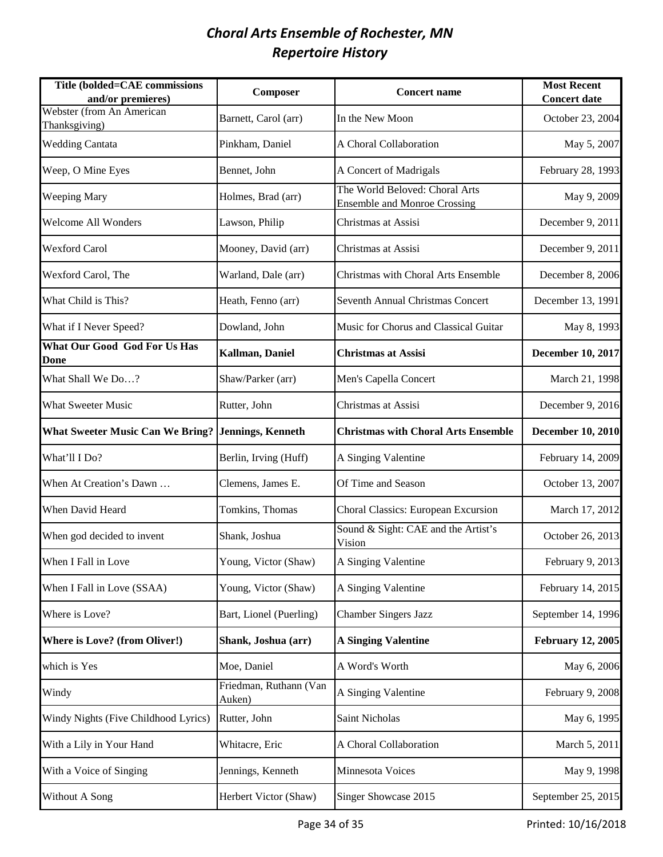| Title (bolded=CAE commissions<br>and/or premieres) | Composer                         | <b>Concert name</b>                                                   | <b>Most Recent</b><br><b>Concert date</b> |
|----------------------------------------------------|----------------------------------|-----------------------------------------------------------------------|-------------------------------------------|
| Webster (from An American<br>Thanksgiving)         | Barnett, Carol (arr)             | In the New Moon                                                       | October 23, 2004                          |
| <b>Wedding Cantata</b>                             | Pinkham, Daniel                  | A Choral Collaboration                                                | May 5, 2007                               |
| Weep, O Mine Eyes                                  | Bennet, John                     | A Concert of Madrigals                                                | February 28, 1993                         |
| Weeping Mary                                       | Holmes, Brad (arr)               | The World Beloved: Choral Arts<br><b>Ensemble and Monroe Crossing</b> | May 9, 2009                               |
| Welcome All Wonders                                | Lawson, Philip                   | Christmas at Assisi                                                   | December 9, 2011                          |
| <b>Wexford Carol</b>                               | Mooney, David (arr)              | Christmas at Assisi                                                   | December 9, 2011                          |
| Wexford Carol, The                                 | Warland, Dale (arr)              | Christmas with Choral Arts Ensemble                                   | December 8, 2006                          |
| What Child is This?                                | Heath, Fenno (arr)               | <b>Seventh Annual Christmas Concert</b>                               | December 13, 1991                         |
| What if I Never Speed?                             | Dowland, John                    | Music for Chorus and Classical Guitar                                 | May 8, 1993                               |
| <b>What Our Good God For Us Has</b><br>Done        | Kallman, Daniel                  | <b>Christmas at Assisi</b>                                            | December 10, 2017                         |
| What Shall We Do?                                  | Shaw/Parker (arr)                | Men's Capella Concert                                                 | March 21, 1998                            |
| <b>What Sweeter Music</b>                          | Rutter, John                     | Christmas at Assisi                                                   | December 9, 2016                          |
| <b>What Sweeter Music Can We Bring?</b>            | Jennings, Kenneth                | <b>Christmas with Choral Arts Ensemble</b>                            | <b>December 10, 2010</b>                  |
| What'll I Do?                                      | Berlin, Irving (Huff)            | A Singing Valentine                                                   | February 14, 2009                         |
| When At Creation's Dawn                            | Clemens, James E.                | Of Time and Season                                                    | October 13, 2007                          |
| When David Heard                                   | Tomkins, Thomas                  | Choral Classics: European Excursion                                   | March 17, 2012                            |
| When god decided to invent                         | Shank, Joshua                    | Sound & Sight: CAE and the Artist's<br>Vision                         | October 26, 2013                          |
| When I Fall in Love                                | Young, Victor (Shaw)             | A Singing Valentine                                                   | February 9, 2013                          |
| When I Fall in Love (SSAA)                         | Young, Victor (Shaw)             | A Singing Valentine                                                   | February 14, 2015                         |
| Where is Love?                                     | Bart, Lionel (Puerling)          | <b>Chamber Singers Jazz</b>                                           | September 14, 1996                        |
| Where is Love? (from Oliver!)                      | Shank, Joshua (arr)              | <b>A Singing Valentine</b>                                            | <b>February 12, 2005</b>                  |
| which is Yes                                       | Moe, Daniel                      | A Word's Worth                                                        | May 6, 2006                               |
| Windy                                              | Friedman, Ruthann (Van<br>Auken) | A Singing Valentine                                                   | February 9, 2008                          |
| Windy Nights (Five Childhood Lyrics)               | Rutter, John                     | Saint Nicholas                                                        | May 6, 1995                               |
| With a Lily in Your Hand                           | Whitacre, Eric                   | A Choral Collaboration                                                | March 5, 2011                             |
| With a Voice of Singing                            | Jennings, Kenneth                | Minnesota Voices                                                      | May 9, 1998                               |
| Without A Song                                     | Herbert Victor (Shaw)            | Singer Showcase 2015                                                  | September 25, 2015                        |